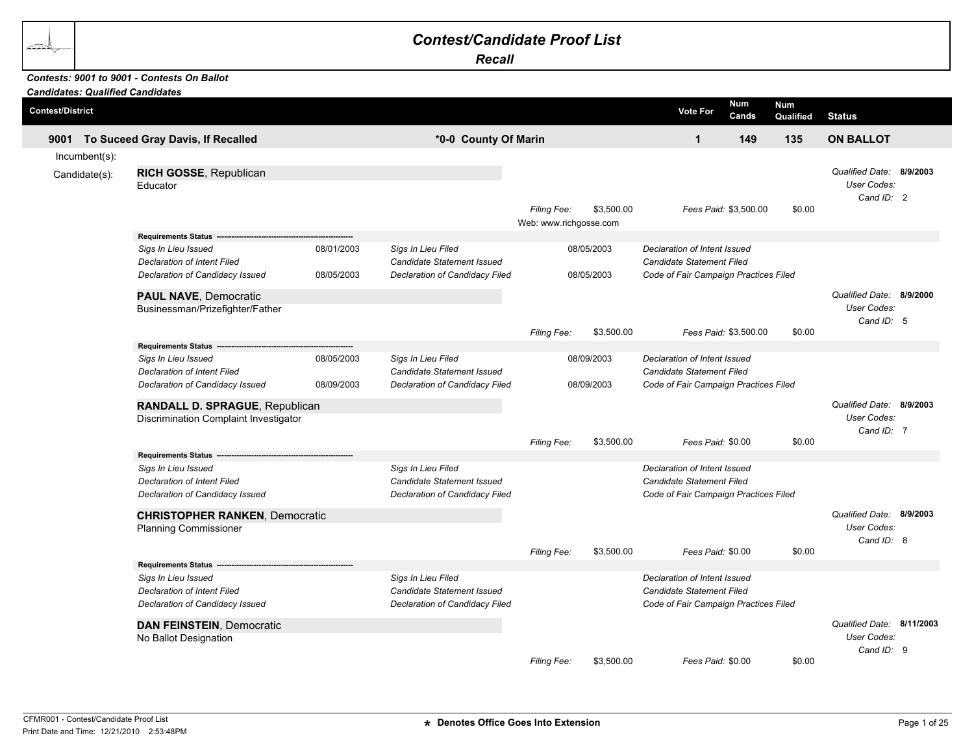## *Contest/Candidate Proof List*

*Recall*

## *Contests: 9001 to 9001 - Contests On Ballot*

| <b>Candidates: Qualified Candidates</b><br><b>Contest/District</b> |                                                                       |            |                                                  |                                              |            | <b>Vote For</b>                                           | <b>Num</b><br>Cands   | <b>Num</b> |                                         |  |
|--------------------------------------------------------------------|-----------------------------------------------------------------------|------------|--------------------------------------------------|----------------------------------------------|------------|-----------------------------------------------------------|-----------------------|------------|-----------------------------------------|--|
|                                                                    |                                                                       |            |                                                  |                                              |            |                                                           |                       | Qualified  | <b>Status</b>                           |  |
| 9001                                                               | To Suceed Gray Davis, If Recalled                                     |            | *0-0 County Of Marin                             |                                              |            | $\mathbf{1}$                                              | 149                   | 135        | <b>ON BALLOT</b>                        |  |
| $Incumbent(s)$ :                                                   |                                                                       |            |                                                  |                                              |            |                                                           |                       |            |                                         |  |
| Candidate(s):                                                      | RICH GOSSE, Republican<br>Educator                                    |            |                                                  |                                              |            |                                                           |                       |            | Qualified Date: 8/9/2003<br>User Codes: |  |
|                                                                    |                                                                       |            |                                                  | <b>Filing Fee:</b><br>Web: www.richgosse.com | \$3,500.00 |                                                           | Fees Paid: \$3,500.00 | \$0.00     | Cand ID: 2                              |  |
|                                                                    | <b>Requirements Status</b>                                            |            |                                                  |                                              |            |                                                           |                       |            |                                         |  |
|                                                                    | Sigs In Lieu Issued                                                   | 08/01/2003 | Sigs In Lieu Filed                               |                                              | 08/05/2003 | Declaration of Intent Issued                              |                       |            |                                         |  |
|                                                                    | <b>Declaration of Intent Filed</b>                                    |            | Candidate Statement Issued                       |                                              |            | <b>Candidate Statement Filed</b>                          |                       |            |                                         |  |
|                                                                    | Declaration of Candidacy Issued                                       | 08/05/2003 | Declaration of Candidacy Filed                   |                                              | 08/05/2003 | Code of Fair Campaign Practices Filed                     |                       |            |                                         |  |
|                                                                    | <b>PAUL NAVE, Democratic</b>                                          |            |                                                  |                                              |            |                                                           |                       |            | Qualified Date: 8/9/2000                |  |
|                                                                    | Businessman/Prizefighter/Father                                       |            |                                                  |                                              |            |                                                           |                       |            | User Codes:                             |  |
|                                                                    |                                                                       |            |                                                  |                                              | \$3,500.00 |                                                           |                       |            | Cand ID: 5                              |  |
|                                                                    | <b>Requirements Status</b>                                            |            |                                                  | Filing Fee:                                  |            |                                                           | Fees Paid: \$3,500.00 | \$0.00     |                                         |  |
|                                                                    | Sigs In Lieu Issued                                                   | 08/05/2003 | Sigs In Lieu Filed                               |                                              | 08/09/2003 | Declaration of Intent Issued                              |                       |            |                                         |  |
|                                                                    | <b>Declaration of Intent Filed</b>                                    |            | Candidate Statement Issued                       |                                              |            | Candidate Statement Filed                                 |                       |            |                                         |  |
|                                                                    | Declaration of Candidacy Issued                                       | 08/09/2003 | Declaration of Candidacy Filed                   |                                              | 08/09/2003 | Code of Fair Campaign Practices Filed                     |                       |            |                                         |  |
|                                                                    | RANDALL D. SPRAGUE, Republican                                        |            |                                                  |                                              |            |                                                           |                       |            | Qualified Date: 8/9/2003                |  |
|                                                                    | Discrimination Complaint Investigator                                 |            |                                                  |                                              |            |                                                           |                       |            | User Codes:                             |  |
|                                                                    |                                                                       |            |                                                  |                                              |            |                                                           |                       |            | Cand ID: 7                              |  |
|                                                                    |                                                                       |            |                                                  | <b>Filing Fee:</b>                           | \$3,500.00 | Fees Paid: \$0.00                                         |                       | \$0.00     |                                         |  |
|                                                                    | <b>Requirements Status</b>                                            |            |                                                  |                                              |            |                                                           |                       |            |                                         |  |
|                                                                    | Sigs In Lieu Issued                                                   |            | Sigs In Lieu Filed<br>Candidate Statement Issued |                                              |            | Declaration of Intent Issued<br>Candidate Statement Filed |                       |            |                                         |  |
|                                                                    | <b>Declaration of Intent Filed</b><br>Declaration of Candidacy Issued |            | Declaration of Candidacy Filed                   |                                              |            | Code of Fair Campaign Practices Filed                     |                       |            |                                         |  |
|                                                                    |                                                                       |            |                                                  |                                              |            |                                                           |                       |            |                                         |  |
|                                                                    | <b>CHRISTOPHER RANKEN, Democratic</b>                                 |            |                                                  |                                              |            |                                                           |                       |            | Qualified Date: 8/9/2003                |  |
|                                                                    | <b>Planning Commissioner</b>                                          |            |                                                  |                                              |            |                                                           |                       |            | User Codes:                             |  |
|                                                                    |                                                                       |            |                                                  | Filing Fee:                                  | \$3,500.00 | Fees Paid: \$0.00                                         |                       | \$0.00     | Cand ID: 8                              |  |
|                                                                    | Requirements Status ------------------                                |            |                                                  |                                              |            |                                                           |                       |            |                                         |  |
|                                                                    | Sigs In Lieu Issued                                                   |            | Sigs In Lieu Filed                               |                                              |            | Declaration of Intent Issued                              |                       |            |                                         |  |
|                                                                    | <b>Declaration of Intent Filed</b>                                    |            | <b>Candidate Statement Issued</b>                |                                              |            | Candidate Statement Filed                                 |                       |            |                                         |  |
|                                                                    | Declaration of Candidacy Issued                                       |            | Declaration of Candidacy Filed                   |                                              |            | Code of Fair Campaign Practices Filed                     |                       |            |                                         |  |
|                                                                    | <b>DAN FEINSTEIN, Democratic</b>                                      |            |                                                  |                                              |            |                                                           |                       |            | Qualified Date: 8/11/2003               |  |
|                                                                    | No Ballot Designation                                                 |            |                                                  |                                              |            |                                                           |                       |            | User Codes:                             |  |
|                                                                    |                                                                       |            |                                                  |                                              |            |                                                           |                       |            | Cand ID: 9                              |  |
|                                                                    |                                                                       |            |                                                  | Filing Fee:                                  | \$3,500.00 | Fees Paid: \$0.00                                         |                       | \$0.00     |                                         |  |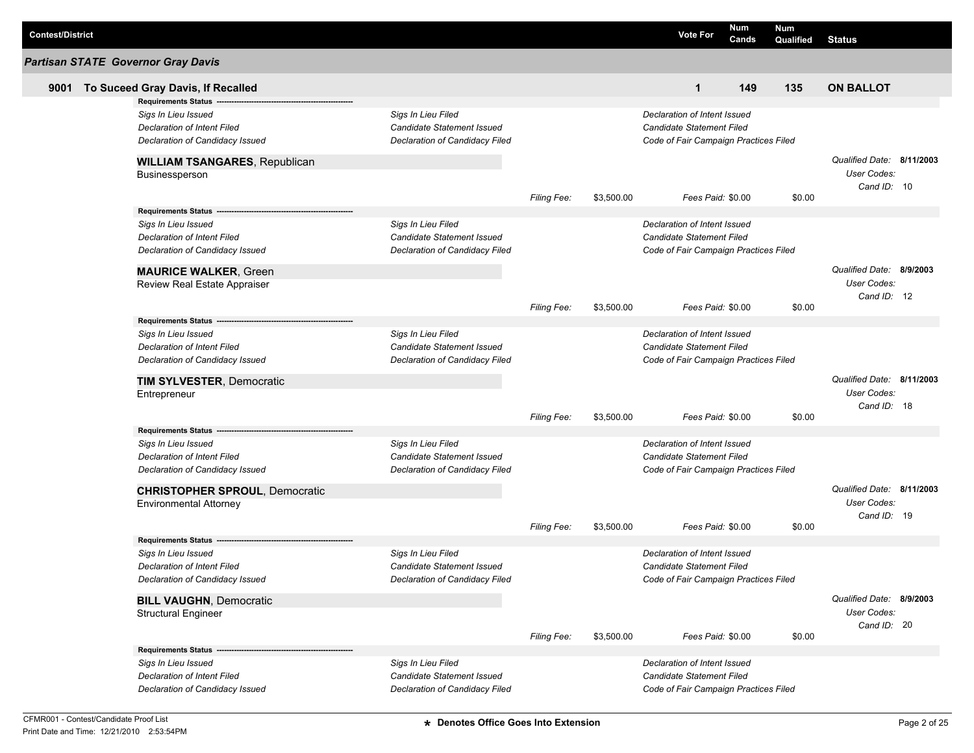| <b>Contest/District</b> |                                                                |                                                         |                    |            | <b>Vote For</b>                                                  | Num<br>Cands | <b>Num</b><br>Qualified | Status                     |  |
|-------------------------|----------------------------------------------------------------|---------------------------------------------------------|--------------------|------------|------------------------------------------------------------------|--------------|-------------------------|----------------------------|--|
|                         | <b>Partisan STATE Governor Gray Davis</b>                      |                                                         |                    |            |                                                                  |              |                         |                            |  |
| 9001                    | To Suceed Gray Davis, If Recalled                              |                                                         |                    |            | $\mathbf{1}$                                                     | 149          | 135                     | <b>ON BALLOT</b>           |  |
|                         | <b>Requirements Status</b>                                     |                                                         |                    |            |                                                                  |              |                         |                            |  |
|                         | Sigs In Lieu Issued                                            | Sigs In Lieu Filed                                      |                    |            | Declaration of Intent Issued                                     |              |                         |                            |  |
|                         | Declaration of Intent Filed                                    | Candidate Statement Issued                              |                    |            | <b>Candidate Statement Filed</b>                                 |              |                         |                            |  |
|                         | Declaration of Candidacy Issued                                | Declaration of Candidacy Filed                          |                    |            | Code of Fair Campaign Practices Filed                            |              |                         |                            |  |
|                         | <b>WILLIAM TSANGARES, Republican</b>                           |                                                         |                    |            |                                                                  |              |                         | Qualified Date: 8/11/2003  |  |
|                         | Businessperson                                                 |                                                         |                    |            |                                                                  |              |                         | User Codes:                |  |
|                         |                                                                |                                                         | <b>Filing Fee:</b> | \$3,500.00 | Fees Paid: \$0.00                                                |              | \$0.00                  | Cand ID: 10                |  |
|                         | <b>Requirements Status</b>                                     |                                                         |                    |            |                                                                  |              |                         |                            |  |
|                         | Sigs In Lieu Issued                                            | Sigs In Lieu Filed                                      |                    |            | Declaration of Intent Issued                                     |              |                         |                            |  |
|                         | Declaration of Intent Filed                                    | Candidate Statement Issued                              |                    |            | <b>Candidate Statement Filed</b>                                 |              |                         |                            |  |
|                         | Declaration of Candidacy Issued                                | Declaration of Candidacy Filed                          |                    |            | Code of Fair Campaign Practices Filed                            |              |                         |                            |  |
|                         |                                                                |                                                         |                    |            |                                                                  |              |                         | Qualified Date: 8/9/2003   |  |
|                         | <b>MAURICE WALKER, Green</b><br>Review Real Estate Appraiser   |                                                         |                    |            |                                                                  |              |                         | User Codes:                |  |
|                         |                                                                |                                                         |                    |            |                                                                  |              |                         | Cand ID: 12                |  |
|                         |                                                                |                                                         | <b>Filing Fee:</b> | \$3,500.00 | Fees Paid: \$0.00                                                |              | \$0.00                  |                            |  |
|                         | Requirements Status ---                                        |                                                         |                    |            |                                                                  |              |                         |                            |  |
|                         | Sigs In Lieu Issued                                            | Sigs In Lieu Filed                                      |                    |            | Declaration of Intent Issued                                     |              |                         |                            |  |
|                         | Declaration of Intent Filed                                    | <b>Candidate Statement Issued</b>                       |                    |            | <b>Candidate Statement Filed</b>                                 |              |                         |                            |  |
|                         | Declaration of Candidacy Issued                                | Declaration of Candidacy Filed                          |                    |            | Code of Fair Campaign Practices Filed                            |              |                         |                            |  |
|                         | <b>TIM SYLVESTER, Democratic</b>                               |                                                         |                    |            |                                                                  |              |                         | Qualified Date: 8/11/2003  |  |
|                         | Entrepreneur                                                   |                                                         |                    |            |                                                                  |              |                         | User Codes:                |  |
|                         |                                                                |                                                         |                    |            |                                                                  |              |                         | Cand ID: 18                |  |
|                         |                                                                |                                                         | <b>Filing Fee:</b> | \$3,500.00 | Fees Paid: \$0.00                                                |              | \$0.00                  |                            |  |
|                         | <b>Requirements Status</b>                                     |                                                         |                    |            |                                                                  |              |                         |                            |  |
|                         | Sigs In Lieu Issued                                            | Sigs In Lieu Filed<br>Candidate Statement Issued        |                    |            | Declaration of Intent Issued<br><b>Candidate Statement Filed</b> |              |                         |                            |  |
|                         | Declaration of Intent Filed<br>Declaration of Candidacy Issued | Declaration of Candidacy Filed                          |                    |            | Code of Fair Campaign Practices Filed                            |              |                         |                            |  |
|                         |                                                                |                                                         |                    |            |                                                                  |              |                         |                            |  |
|                         | <b>CHRISTOPHER SPROUL, Democratic</b>                          |                                                         |                    |            |                                                                  |              |                         | Qualified Date: 8/11/2003  |  |
|                         | <b>Environmental Attorney</b>                                  |                                                         |                    |            |                                                                  |              |                         | User Codes:<br>Cand ID: 19 |  |
|                         |                                                                |                                                         | <b>Filing Fee:</b> | \$3,500.00 | Fees Paid: \$0.00                                                |              | \$0.00                  |                            |  |
|                         | <b>Requirements Status</b>                                     |                                                         |                    |            |                                                                  |              |                         |                            |  |
|                         | Sigs In Lieu Issued                                            | Sigs In Lieu Filed                                      |                    |            | Declaration of Intent Issued                                     |              |                         |                            |  |
|                         | Declaration of Intent Filed                                    | Candidate Statement Issued                              |                    |            | Candidate Statement Filed                                        |              |                         |                            |  |
|                         | Declaration of Candidacy Issued                                | Declaration of Candidacy Filed                          |                    |            | Code of Fair Campaign Practices Filed                            |              |                         |                            |  |
|                         | <b>BILL VAUGHN, Democratic</b>                                 |                                                         |                    |            |                                                                  |              |                         | Qualified Date: 8/9/2003   |  |
|                         | <b>Structural Engineer</b>                                     |                                                         |                    |            |                                                                  |              |                         | User Codes:                |  |
|                         |                                                                |                                                         |                    |            |                                                                  |              |                         | Cand ID: 20                |  |
|                         |                                                                |                                                         | Filing Fee:        | \$3,500.00 | Fees Paid: \$0.00                                                |              | \$0.00                  |                            |  |
|                         | <b>Requirements Status</b>                                     |                                                         |                    |            |                                                                  |              |                         |                            |  |
|                         | Sigs In Lieu Issued<br>Declaration of Intent Filed             | Sigs In Lieu Filed<br><b>Candidate Statement Issued</b> |                    |            | Declaration of Intent Issued<br><b>Candidate Statement Filed</b> |              |                         |                            |  |
|                         | Declaration of Candidacy Issued                                | Declaration of Candidacy Filed                          |                    |            | Code of Fair Campaign Practices Filed                            |              |                         |                            |  |
|                         |                                                                |                                                         |                    |            |                                                                  |              |                         |                            |  |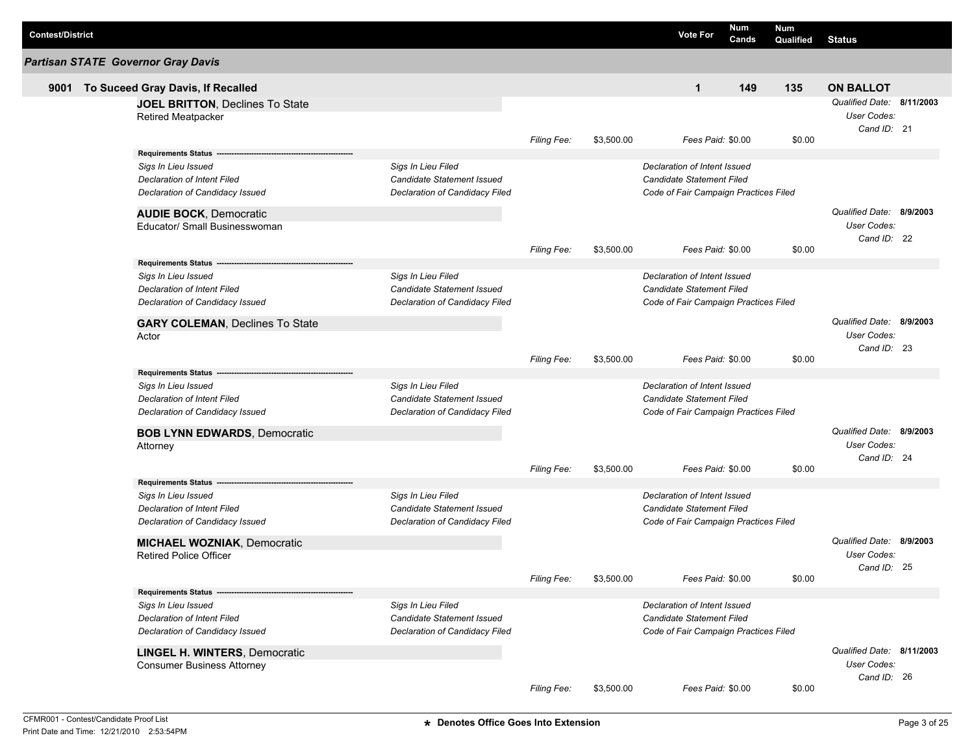| <b>Contest/District</b> |                                                                     |                                |                    |            | <b>Vote For</b>                       | Num<br>Cands | Num<br>Qualified | <b>Status</b>                                           |          |
|-------------------------|---------------------------------------------------------------------|--------------------------------|--------------------|------------|---------------------------------------|--------------|------------------|---------------------------------------------------------|----------|
|                         | <b>Partisan STATE Governor Gray Davis</b>                           |                                |                    |            |                                       |              |                  |                                                         |          |
| 9001                    | To Suceed Gray Davis, If Recalled                                   |                                |                    |            | $\mathbf{1}$                          | 149          | 135              | <b>ON BALLOT</b>                                        |          |
|                         | <b>JOEL BRITTON, Declines To State</b><br><b>Retired Meatpacker</b> |                                |                    |            |                                       |              |                  | Qualified Date: 8/11/2003<br>User Codes:<br>Cand ID: 21 |          |
|                         |                                                                     |                                | <b>Filing Fee:</b> | \$3,500.00 | Fees Paid: \$0.00                     |              | \$0.00           |                                                         |          |
|                         | Requirements Status --                                              |                                |                    |            |                                       |              |                  |                                                         |          |
|                         | Sigs In Lieu Issued                                                 | Sigs In Lieu Filed             |                    |            | Declaration of Intent Issued          |              |                  |                                                         |          |
|                         | <b>Declaration of Intent Filed</b>                                  | Candidate Statement Issued     |                    |            | Candidate Statement Filed             |              |                  |                                                         |          |
|                         | Declaration of Candidacy Issued                                     | Declaration of Candidacy Filed |                    |            | Code of Fair Campaign Practices Filed |              |                  |                                                         |          |
|                         | <b>AUDIE BOCK, Democratic</b>                                       |                                |                    |            |                                       |              |                  | Qualified Date: 8/9/2003                                |          |
|                         | Educator/ Small Businesswoman                                       |                                |                    |            |                                       |              |                  | User Codes:                                             |          |
|                         |                                                                     |                                |                    |            |                                       |              |                  | Cand ID: 22                                             |          |
|                         |                                                                     |                                | <b>Filing Fee:</b> | \$3,500.00 | Fees Paid: \$0.00                     |              | \$0.00           |                                                         |          |
|                         | Requirements Status ------                                          |                                |                    |            |                                       |              |                  |                                                         |          |
|                         | Sigs In Lieu Issued                                                 | Sigs In Lieu Filed             |                    |            | Declaration of Intent Issued          |              |                  |                                                         |          |
|                         | Declaration of Intent Filed                                         | Candidate Statement Issued     |                    |            | Candidate Statement Filed             |              |                  |                                                         |          |
|                         | Declaration of Candidacy Issued                                     | Declaration of Candidacy Filed |                    |            | Code of Fair Campaign Practices Filed |              |                  |                                                         |          |
|                         | <b>GARY COLEMAN, Declines To State</b>                              |                                |                    |            |                                       |              |                  | Qualified Date: 8/9/2003                                |          |
|                         | Actor                                                               |                                |                    |            |                                       |              |                  | User Codes:                                             |          |
|                         |                                                                     |                                | Filing Fee:        | \$3,500.00 | Fees Paid: \$0.00                     |              | \$0.00           | Cand ID: 23                                             |          |
|                         | <b>Requirements Status</b>                                          |                                |                    |            |                                       |              |                  |                                                         |          |
|                         | Sigs In Lieu Issued                                                 | Sigs In Lieu Filed             |                    |            | Declaration of Intent Issued          |              |                  |                                                         |          |
|                         | Declaration of Intent Filed                                         | Candidate Statement Issued     |                    |            | Candidate Statement Filed             |              |                  |                                                         |          |
|                         | Declaration of Candidacy Issued                                     | Declaration of Candidacy Filed |                    |            | Code of Fair Campaign Practices Filed |              |                  |                                                         |          |
|                         |                                                                     |                                |                    |            |                                       |              |                  |                                                         |          |
|                         | <b>BOB LYNN EDWARDS, Democratic</b>                                 |                                |                    |            |                                       |              |                  | Qualified Date:                                         | 8/9/2003 |
|                         | Attorney                                                            |                                |                    |            |                                       |              |                  | User Codes:<br>Cand ID: 24                              |          |
|                         |                                                                     |                                | <b>Filing Fee:</b> | \$3,500.00 | Fees Paid: \$0.00                     |              | \$0.00           |                                                         |          |
|                         | Requirements Status ---                                             |                                |                    |            |                                       |              |                  |                                                         |          |
|                         | Sigs In Lieu Issued                                                 | Sigs In Lieu Filed             |                    |            | Declaration of Intent Issued          |              |                  |                                                         |          |
|                         | <b>Declaration of Intent Filed</b>                                  | Candidate Statement Issued     |                    |            | Candidate Statement Filed             |              |                  |                                                         |          |
|                         | Declaration of Candidacy Issued                                     | Declaration of Candidacy Filed |                    |            | Code of Fair Campaign Practices Filed |              |                  |                                                         |          |
|                         | <b>MICHAEL WOZNIAK, Democratic</b>                                  |                                |                    |            |                                       |              |                  | Qualified Date: 8/9/2003                                |          |
|                         | <b>Retired Police Officer</b>                                       |                                |                    |            |                                       |              |                  | User Codes:                                             |          |
|                         |                                                                     |                                |                    |            |                                       |              |                  | Cand ID: 25                                             |          |
|                         |                                                                     |                                | Filing Fee:        | \$3,500.00 | Fees Paid: \$0.00                     |              | \$0.00           |                                                         |          |
|                         | <b>Requirements Status</b>                                          |                                |                    |            |                                       |              |                  |                                                         |          |
|                         | Sigs In Lieu Issued                                                 | Sigs In Lieu Filed             |                    |            | Declaration of Intent Issued          |              |                  |                                                         |          |
|                         | Declaration of Intent Filed                                         | Candidate Statement Issued     |                    |            | Candidate Statement Filed             |              |                  |                                                         |          |
|                         | Declaration of Candidacy Issued                                     | Declaration of Candidacy Filed |                    |            | Code of Fair Campaign Practices Filed |              |                  |                                                         |          |
|                         | <b>LINGEL H. WINTERS, Democratic</b>                                |                                |                    |            |                                       |              |                  | Qualified Date: 8/11/2003                               |          |
|                         | <b>Consumer Business Attorney</b>                                   |                                |                    |            |                                       |              |                  | User Codes:                                             |          |
|                         |                                                                     |                                |                    |            |                                       |              |                  | Cand ID: 26                                             |          |
|                         |                                                                     |                                | Filing Fee:        | \$3,500.00 | Fees Paid: \$0.00                     |              | \$0.00           |                                                         |          |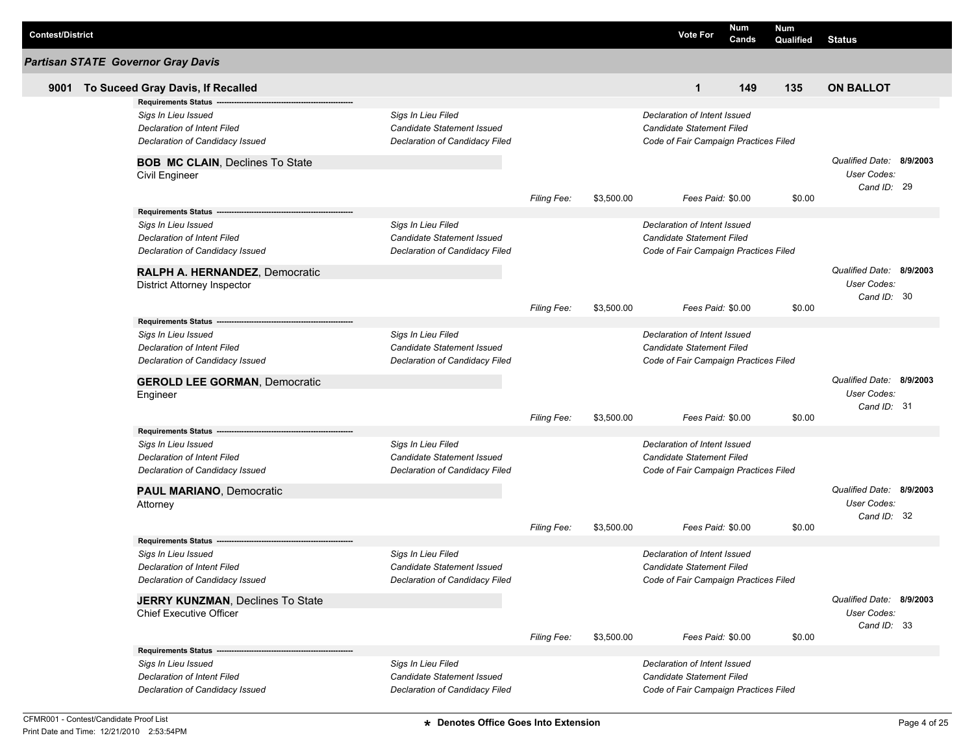| <b>Contest/District</b> |                                                                                              |                                                                                    |                    |            | <b>Vote For</b>                                                                                    | Num<br>Cands | Num<br>Qualified | <b>Status</b>                                                 |  |
|-------------------------|----------------------------------------------------------------------------------------------|------------------------------------------------------------------------------------|--------------------|------------|----------------------------------------------------------------------------------------------------|--------------|------------------|---------------------------------------------------------------|--|
|                         | <b>Partisan STATE Governor Gray Davis</b>                                                    |                                                                                    |                    |            |                                                                                                    |              |                  |                                                               |  |
| 9001                    | To Suceed Gray Davis, If Recalled                                                            |                                                                                    |                    |            | $\mathbf{1}$                                                                                       | 149          | 135              | <b>ON BALLOT</b>                                              |  |
|                         | <b>Requirements Status</b>                                                                   |                                                                                    |                    |            |                                                                                                    |              |                  |                                                               |  |
|                         | Sigs In Lieu Issued<br>Declaration of Intent Filed<br>Declaration of Candidacy Issued        | Sigs In Lieu Filed<br>Candidate Statement Issued<br>Declaration of Candidacy Filed |                    |            | Declaration of Intent Issued<br>Candidate Statement Filed<br>Code of Fair Campaign Practices Filed |              |                  |                                                               |  |
|                         |                                                                                              |                                                                                    |                    |            |                                                                                                    |              |                  |                                                               |  |
|                         | <b>BOB MC CLAIN, Declines To State</b><br>Civil Engineer                                     |                                                                                    |                    |            |                                                                                                    |              |                  | Qualified Date: 8/9/2003<br><b>User Codes:</b><br>Cand ID: 29 |  |
|                         |                                                                                              |                                                                                    | Filing Fee:        | \$3,500.00 | Fees Paid: \$0.00                                                                                  |              | \$0.00           |                                                               |  |
|                         | Requirements Status ---                                                                      |                                                                                    |                    |            |                                                                                                    |              |                  |                                                               |  |
|                         | Sigs In Lieu Issued<br><b>Declaration of Intent Filed</b><br>Declaration of Candidacy Issued | Sigs In Lieu Filed<br>Candidate Statement Issued<br>Declaration of Candidacy Filed |                    |            | Declaration of Intent Issued<br>Candidate Statement Filed<br>Code of Fair Campaign Practices Filed |              |                  |                                                               |  |
|                         | RALPH A. HERNANDEZ, Democratic<br><b>District Attorney Inspector</b>                         |                                                                                    |                    |            |                                                                                                    |              |                  | Qualified Date: 8/9/2003<br><b>User Codes:</b><br>Cand ID: 30 |  |
|                         |                                                                                              |                                                                                    | Filing Fee:        | \$3,500.00 | Fees Paid: \$0.00                                                                                  |              | \$0.00           |                                                               |  |
|                         | Requirements Status -                                                                        |                                                                                    |                    |            |                                                                                                    |              |                  |                                                               |  |
|                         | Sigs In Lieu Issued<br><b>Declaration of Intent Filed</b><br>Declaration of Candidacy Issued | Sigs In Lieu Filed<br>Candidate Statement Issued<br>Declaration of Candidacy Filed |                    |            | Declaration of Intent Issued<br>Candidate Statement Filed<br>Code of Fair Campaign Practices Filed |              |                  |                                                               |  |
|                         | <b>GEROLD LEE GORMAN, Democratic</b><br>Engineer                                             |                                                                                    | Filing Fee:        | \$3,500.00 | Fees Paid: \$0.00                                                                                  |              | \$0.00           | Qualified Date: 8/9/2003<br><b>User Codes:</b><br>Cand ID: 31 |  |
|                         | Requirements Status --                                                                       |                                                                                    |                    |            |                                                                                                    |              |                  |                                                               |  |
|                         | Sigs In Lieu Issued<br><b>Declaration of Intent Filed</b><br>Declaration of Candidacy Issued | Sigs In Lieu Filed<br>Candidate Statement Issued<br>Declaration of Candidacy Filed |                    |            | Declaration of Intent Issued<br>Candidate Statement Filed<br>Code of Fair Campaign Practices Filed |              |                  |                                                               |  |
|                         | <b>PAUL MARIANO, Democratic</b><br>Attorney                                                  |                                                                                    |                    |            |                                                                                                    |              |                  | Qualified Date: 8/9/2003<br><b>User Codes:</b><br>Cand ID: 32 |  |
|                         |                                                                                              |                                                                                    | <b>Filing Fee:</b> | \$3,500.00 | Fees Paid: \$0.00                                                                                  |              | \$0.00           |                                                               |  |
|                         | <b>Requirements Status</b>                                                                   |                                                                                    |                    |            |                                                                                                    |              |                  |                                                               |  |
|                         | Sigs In Lieu Issued                                                                          | Sigs In Lieu Filed                                                                 |                    |            | Declaration of Intent Issued                                                                       |              |                  |                                                               |  |
|                         | <b>Declaration of Intent Filed</b><br>Declaration of Candidacy Issued                        | Candidate Statement Issued<br>Declaration of Candidacy Filed                       |                    |            | Candidate Statement Filed<br>Code of Fair Campaign Practices Filed                                 |              |                  |                                                               |  |
|                         |                                                                                              |                                                                                    |                    |            |                                                                                                    |              |                  | Qualified Date: 8/9/2003                                      |  |
|                         | <b>JERRY KUNZMAN, Declines To State</b><br><b>Chief Executive Officer</b>                    |                                                                                    |                    |            |                                                                                                    |              |                  | User Codes:<br>Cand ID: 33                                    |  |
|                         |                                                                                              |                                                                                    | <b>Filing Fee:</b> | \$3,500.00 | Fees Paid: \$0.00                                                                                  |              | \$0.00           |                                                               |  |
|                         | Sigs In Lieu Issued                                                                          | Sigs In Lieu Filed                                                                 |                    |            | Declaration of Intent Issued                                                                       |              |                  |                                                               |  |
|                         | <b>Declaration of Intent Filed</b><br>Declaration of Candidacy Issued                        | Candidate Statement Issued<br>Declaration of Candidacy Filed                       |                    |            | Candidate Statement Filed<br>Code of Fair Campaign Practices Filed                                 |              |                  |                                                               |  |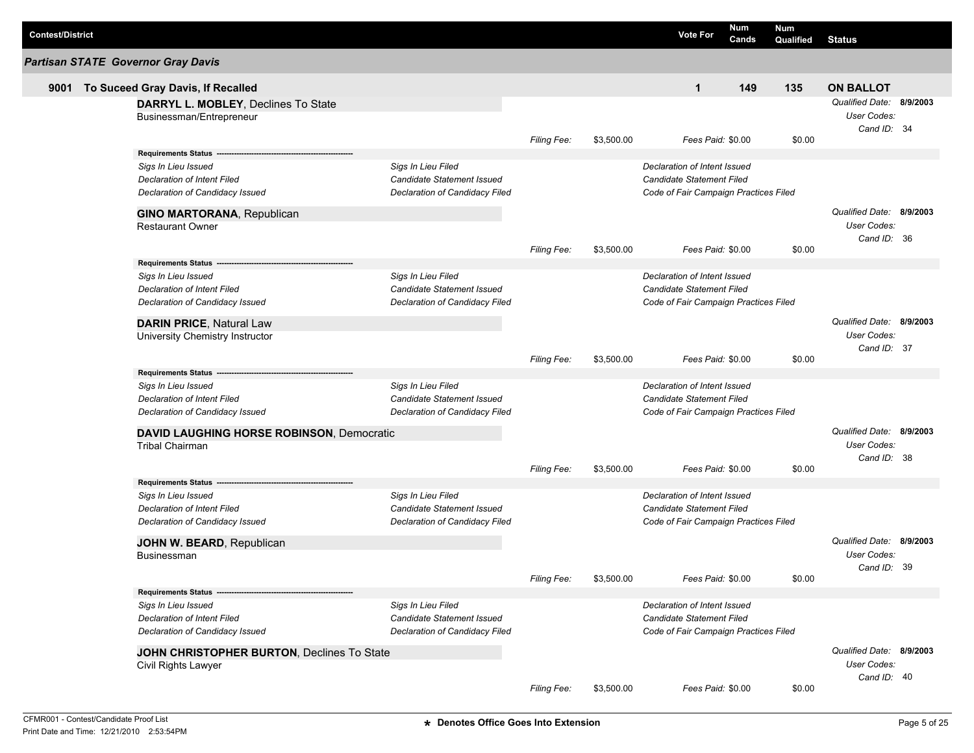| <b>Contest/District</b> |                                            |                                   |                    |            | <b>Vote For</b>                       | <b>Num</b><br>Cands | Num<br>Qualified | <b>Status</b>            |  |
|-------------------------|--------------------------------------------|-----------------------------------|--------------------|------------|---------------------------------------|---------------------|------------------|--------------------------|--|
|                         | <b>Partisan STATE Governor Gray Davis</b>  |                                   |                    |            |                                       |                     |                  |                          |  |
| 9001                    | To Suceed Gray Davis, If Recalled          |                                   |                    |            | $\mathbf{1}$                          | 149                 | 135              | <b>ON BALLOT</b>         |  |
|                         | DARRYL L. MOBLEY, Declines To State        |                                   |                    |            |                                       |                     |                  | Qualified Date: 8/9/2003 |  |
|                         | Businessman/Entrepreneur                   |                                   |                    |            |                                       |                     |                  | User Codes:              |  |
|                         |                                            |                                   |                    |            |                                       |                     |                  | Cand ID: 34              |  |
|                         |                                            |                                   | <b>Filing Fee:</b> | \$3,500.00 | Fees Paid: \$0.00                     |                     | \$0.00           |                          |  |
|                         | Requirements Status --                     |                                   |                    |            |                                       |                     |                  |                          |  |
|                         | Sigs In Lieu Issued                        | Sigs In Lieu Filed                |                    |            | Declaration of Intent Issued          |                     |                  |                          |  |
|                         | <b>Declaration of Intent Filed</b>         | Candidate Statement Issued        |                    |            | Candidate Statement Filed             |                     |                  |                          |  |
|                         | Declaration of Candidacy Issued            | Declaration of Candidacy Filed    |                    |            | Code of Fair Campaign Practices Filed |                     |                  |                          |  |
|                         | <b>GINO MARTORANA, Republican</b>          |                                   |                    |            |                                       |                     |                  | Qualified Date: 8/9/2003 |  |
|                         | <b>Restaurant Owner</b>                    |                                   |                    |            |                                       |                     |                  | <b>User Codes:</b>       |  |
|                         |                                            |                                   |                    |            |                                       |                     |                  | Cand ID: 36              |  |
|                         |                                            |                                   | <b>Filing Fee:</b> | \$3,500.00 | Fees Paid: \$0.00                     |                     | \$0.00           |                          |  |
|                         | Requirements Status -------                |                                   |                    |            |                                       |                     |                  |                          |  |
|                         | Sigs In Lieu Issued                        | Sigs In Lieu Filed                |                    |            | Declaration of Intent Issued          |                     |                  |                          |  |
|                         | Declaration of Intent Filed                | Candidate Statement Issued        |                    |            | Candidate Statement Filed             |                     |                  |                          |  |
|                         | Declaration of Candidacy Issued            | Declaration of Candidacy Filed    |                    |            | Code of Fair Campaign Practices Filed |                     |                  |                          |  |
|                         | <b>DARIN PRICE, Natural Law</b>            |                                   |                    |            |                                       |                     |                  | Qualified Date: 8/9/2003 |  |
|                         | University Chemistry Instructor            |                                   |                    |            |                                       |                     |                  | User Codes:              |  |
|                         |                                            |                                   |                    |            |                                       |                     |                  | Cand ID: 37              |  |
|                         |                                            |                                   | Filing Fee:        | \$3,500.00 | Fees Paid: \$0.00                     |                     | \$0.00           |                          |  |
|                         | <b>Requirements Status</b>                 |                                   |                    |            |                                       |                     |                  |                          |  |
|                         | Sigs In Lieu Issued                        | Sigs In Lieu Filed                |                    |            | Declaration of Intent Issued          |                     |                  |                          |  |
|                         | <b>Declaration of Intent Filed</b>         | Candidate Statement Issued        |                    |            | Candidate Statement Filed             |                     |                  |                          |  |
|                         | Declaration of Candidacy Issued            | Declaration of Candidacy Filed    |                    |            | Code of Fair Campaign Practices Filed |                     |                  |                          |  |
|                         | DAVID LAUGHING HORSE ROBINSON, Democratic  |                                   |                    |            |                                       |                     |                  | Qualified Date: 8/9/2003 |  |
|                         | <b>Tribal Chairman</b>                     |                                   |                    |            |                                       |                     |                  | User Codes:              |  |
|                         |                                            |                                   |                    |            |                                       |                     |                  | Cand ID: 38              |  |
|                         |                                            |                                   | <b>Filing Fee:</b> | \$3,500.00 | Fees Paid: \$0.00                     |                     | \$0.00           |                          |  |
|                         | Requirements Status --                     |                                   |                    |            |                                       |                     |                  |                          |  |
|                         | Sigs In Lieu Issued                        | Sigs In Lieu Filed                |                    |            | Declaration of Intent Issued          |                     |                  |                          |  |
|                         | <b>Declaration of Intent Filed</b>         | <b>Candidate Statement Issued</b> |                    |            | Candidate Statement Filed             |                     |                  |                          |  |
|                         | Declaration of Candidacy Issued            | Declaration of Candidacy Filed    |                    |            | Code of Fair Campaign Practices Filed |                     |                  |                          |  |
|                         | JOHN W. BEARD, Republican                  |                                   |                    |            |                                       |                     |                  | Qualified Date: 8/9/2003 |  |
|                         | Businessman                                |                                   |                    |            |                                       |                     |                  | User Codes:              |  |
|                         |                                            |                                   |                    |            |                                       |                     |                  | Cand ID: 39              |  |
|                         |                                            |                                   | Filing Fee:        | \$3,500.00 | Fees Paid: \$0.00                     |                     | \$0.00           |                          |  |
|                         | <b>Requirements Status</b>                 |                                   |                    |            |                                       |                     |                  |                          |  |
|                         | Sigs In Lieu Issued                        | Sigs In Lieu Filed                |                    |            | Declaration of Intent Issued          |                     |                  |                          |  |
|                         | <b>Declaration of Intent Filed</b>         | Candidate Statement Issued        |                    |            | Candidate Statement Filed             |                     |                  |                          |  |
|                         | Declaration of Candidacy Issued            | Declaration of Candidacy Filed    |                    |            | Code of Fair Campaign Practices Filed |                     |                  |                          |  |
|                         | JOHN CHRISTOPHER BURTON, Declines To State |                                   |                    |            |                                       |                     |                  | Qualified Date: 8/9/2003 |  |
|                         | Civil Rights Lawyer                        |                                   |                    |            |                                       |                     |                  | User Codes:              |  |
|                         |                                            |                                   |                    |            |                                       |                     |                  | Cand ID: 40              |  |
|                         |                                            |                                   | Filing Fee:        | \$3,500.00 | Fees Paid: \$0.00                     |                     | \$0.00           |                          |  |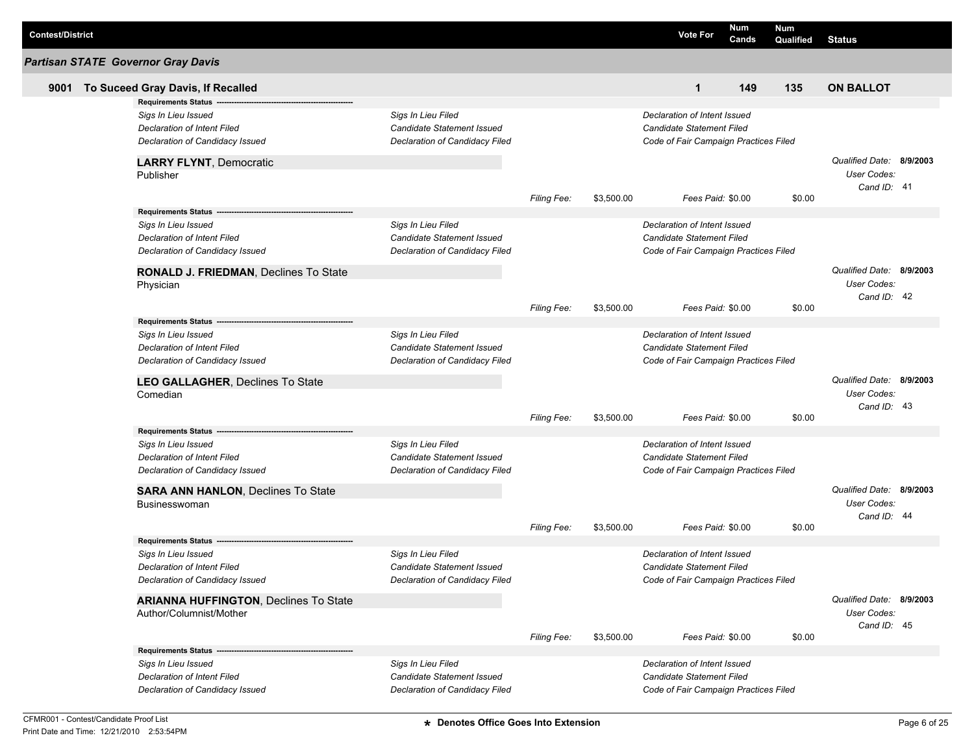| <b>Contest/District</b> |                                                           |                                                  |                    |            | <b>Vote For</b>                       | Num<br>Cands | Num<br>Qualified | <b>Status</b>            |          |
|-------------------------|-----------------------------------------------------------|--------------------------------------------------|--------------------|------------|---------------------------------------|--------------|------------------|--------------------------|----------|
|                         | <b>Partisan STATE Governor Gray Davis</b>                 |                                                  |                    |            |                                       |              |                  |                          |          |
| 9001                    | To Suceed Gray Davis, If Recalled                         |                                                  |                    |            | $\mathbf{1}$                          | 149          | 135              | <b>ON BALLOT</b>         |          |
|                         | <b>Requirements Status</b>                                |                                                  |                    |            |                                       |              |                  |                          |          |
|                         | Sigs In Lieu Issued                                       | Sigs In Lieu Filed                               |                    |            | Declaration of Intent Issued          |              |                  |                          |          |
|                         | <b>Declaration of Intent Filed</b>                        | Candidate Statement Issued                       |                    |            | Candidate Statement Filed             |              |                  |                          |          |
|                         | Declaration of Candidacy Issued                           | Declaration of Candidacy Filed                   |                    |            | Code of Fair Campaign Practices Filed |              |                  |                          |          |
|                         | <b>LARRY FLYNT, Democratic</b>                            |                                                  |                    |            |                                       |              |                  | Qualified Date: 8/9/2003 |          |
|                         | Publisher                                                 |                                                  |                    |            |                                       |              |                  | User Codes:              |          |
|                         |                                                           |                                                  |                    |            |                                       |              |                  | Cand ID: 41              |          |
|                         |                                                           |                                                  | Filing Fee:        | \$3,500.00 | Fees Paid: \$0.00                     |              | \$0.00           |                          |          |
|                         |                                                           |                                                  |                    |            | Declaration of Intent Issued          |              |                  |                          |          |
|                         | Sigs In Lieu Issued<br><b>Declaration of Intent Filed</b> | Sigs In Lieu Filed<br>Candidate Statement Issued |                    |            | Candidate Statement Filed             |              |                  |                          |          |
|                         |                                                           | Declaration of Candidacy Filed                   |                    |            |                                       |              |                  |                          |          |
|                         | Declaration of Candidacy Issued                           |                                                  |                    |            | Code of Fair Campaign Practices Filed |              |                  |                          |          |
|                         | RONALD J. FRIEDMAN, Declines To State                     |                                                  |                    |            |                                       |              |                  | Qualified Date:          | 8/9/2003 |
|                         | Physician                                                 |                                                  |                    |            |                                       |              |                  | User Codes:              |          |
|                         |                                                           |                                                  | <b>Filing Fee:</b> | \$3,500.00 | Fees Paid: \$0.00                     |              | \$0.00           | Cand ID: 42              |          |
|                         | Requirements Status --                                    |                                                  |                    |            |                                       |              |                  |                          |          |
|                         | Sigs In Lieu Issued                                       | Sigs In Lieu Filed                               |                    |            | Declaration of Intent Issued          |              |                  |                          |          |
|                         | <b>Declaration of Intent Filed</b>                        | <b>Candidate Statement Issued</b>                |                    |            | Candidate Statement Filed             |              |                  |                          |          |
|                         | Declaration of Candidacy Issued                           | Declaration of Candidacy Filed                   |                    |            | Code of Fair Campaign Practices Filed |              |                  |                          |          |
|                         | LEO GALLAGHER, Declines To State                          |                                                  |                    |            |                                       |              |                  | Qualified Date: 8/9/2003 |          |
|                         | Comedian                                                  |                                                  |                    |            |                                       |              |                  | User Codes:              |          |
|                         |                                                           |                                                  |                    |            |                                       |              |                  | Cand ID: 43              |          |
|                         |                                                           |                                                  | <b>Filing Fee:</b> | \$3,500.00 | Fees Paid: \$0.00                     |              | \$0.00           |                          |          |
|                         | Requirements Status --                                    |                                                  |                    |            |                                       |              |                  |                          |          |
|                         | Sigs In Lieu Issued                                       | Sigs In Lieu Filed                               |                    |            | Declaration of Intent Issued          |              |                  |                          |          |
|                         | <b>Declaration of Intent Filed</b>                        | Candidate Statement Issued                       |                    |            | Candidate Statement Filed             |              |                  |                          |          |
|                         | Declaration of Candidacy Issued                           | Declaration of Candidacy Filed                   |                    |            | Code of Fair Campaign Practices Filed |              |                  |                          |          |
|                         | <b>SARA ANN HANLON, Declines To State</b>                 |                                                  |                    |            |                                       |              |                  | Qualified Date: 8/9/2003 |          |
|                         | <b>Businesswoman</b>                                      |                                                  |                    |            |                                       |              |                  | User Codes:              |          |
|                         |                                                           |                                                  |                    |            |                                       |              |                  | Cand ID: 44              |          |
|                         |                                                           |                                                  | <b>Filing Fee:</b> | \$3,500.00 | Fees Paid: \$0.00                     |              | \$0.00           |                          |          |
|                         | <b>Requirements Status</b>                                |                                                  |                    |            |                                       |              |                  |                          |          |
|                         | Sigs In Lieu Issued                                       | Sigs In Lieu Filed                               |                    |            | Declaration of Intent Issued          |              |                  |                          |          |
|                         | Declaration of Intent Filed                               | Candidate Statement Issued                       |                    |            | Candidate Statement Filed             |              |                  |                          |          |
|                         | Declaration of Candidacy Issued                           | <b>Declaration of Candidacy Filed</b>            |                    |            | Code of Fair Campaign Practices Filed |              |                  |                          |          |
|                         | <b>ARIANNA HUFFINGTON, Declines To State</b>              |                                                  |                    |            |                                       |              |                  | Qualified Date: 8/9/2003 |          |
|                         | Author/Columnist/Mother                                   |                                                  |                    |            |                                       |              |                  | User Codes:              |          |
|                         |                                                           |                                                  | <b>Filing Fee:</b> | \$3,500.00 | Fees Paid: \$0.00                     |              | \$0.00           | Cand ID: 45              |          |
|                         |                                                           |                                                  |                    |            |                                       |              |                  |                          |          |
|                         | Sigs In Lieu Issued                                       | Sigs In Lieu Filed                               |                    |            | Declaration of Intent Issued          |              |                  |                          |          |
|                         | <b>Declaration of Intent Filed</b>                        | Candidate Statement Issued                       |                    |            | Candidate Statement Filed             |              |                  |                          |          |
|                         | Declaration of Candidacy Issued                           | Declaration of Candidacy Filed                   |                    |            | Code of Fair Campaign Practices Filed |              |                  |                          |          |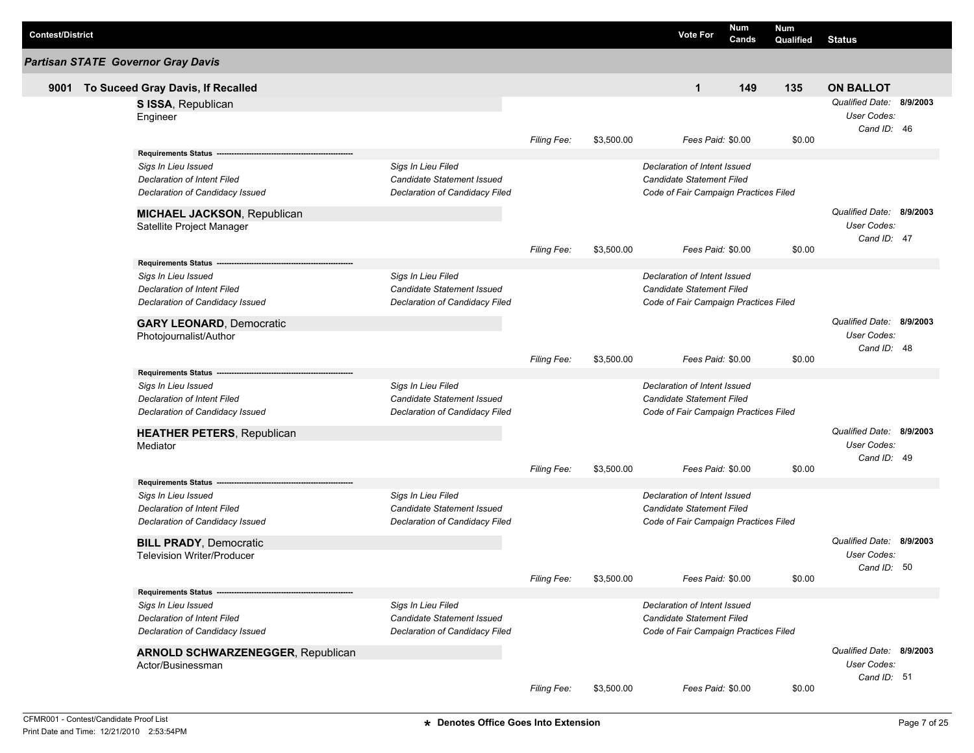| <b>Contest/District</b> |                                                           |                                   |                    |            | <b>Vote For</b>                       | Num<br>Cands | <b>Num</b><br>Qualified | <b>Status</b>            |  |
|-------------------------|-----------------------------------------------------------|-----------------------------------|--------------------|------------|---------------------------------------|--------------|-------------------------|--------------------------|--|
|                         | <b>Partisan STATE Governor Gray Davis</b>                 |                                   |                    |            |                                       |              |                         |                          |  |
| 9001                    | To Suceed Gray Davis, If Recalled                         |                                   |                    |            | $\mathbf{1}$                          | 149          | 135                     | <b>ON BALLOT</b>         |  |
|                         | S ISSA, Republican                                        |                                   |                    |            |                                       |              |                         | Qualified Date: 8/9/2003 |  |
|                         | Engineer                                                  |                                   |                    |            |                                       |              |                         | User Codes:              |  |
|                         |                                                           |                                   |                    |            |                                       |              |                         | Cand ID: 46              |  |
|                         |                                                           |                                   | Filing Fee:        | \$3,500.00 | Fees Paid: \$0.00                     |              | \$0.00                  |                          |  |
|                         | Requirements Status -                                     |                                   |                    |            |                                       |              |                         |                          |  |
|                         | Sigs In Lieu Issued                                       | Sigs In Lieu Filed                |                    |            | Declaration of Intent Issued          |              |                         |                          |  |
|                         | <b>Declaration of Intent Filed</b>                        | <b>Candidate Statement Issued</b> |                    |            | <b>Candidate Statement Filed</b>      |              |                         |                          |  |
|                         | Declaration of Candidacy Issued                           | Declaration of Candidacy Filed    |                    |            | Code of Fair Campaign Practices Filed |              |                         |                          |  |
|                         | <b>MICHAEL JACKSON, Republican</b>                        |                                   |                    |            |                                       |              |                         | Qualified Date: 8/9/2003 |  |
|                         | Satellite Project Manager                                 |                                   |                    |            |                                       |              |                         | <b>User Codes:</b>       |  |
|                         |                                                           |                                   |                    |            |                                       |              |                         | Cand ID: 47              |  |
|                         |                                                           |                                   | <b>Filing Fee:</b> | \$3,500.00 | Fees Paid: \$0.00                     |              | \$0.00                  |                          |  |
|                         | <b>Requirements Status</b>                                |                                   |                    |            |                                       |              |                         |                          |  |
|                         | Sigs In Lieu Issued                                       | Sigs In Lieu Filed                |                    |            | Declaration of Intent Issued          |              |                         |                          |  |
|                         | Declaration of Intent Filed                               | Candidate Statement Issued        |                    |            | <b>Candidate Statement Filed</b>      |              |                         |                          |  |
|                         | Declaration of Candidacy Issued                           | Declaration of Candidacy Filed    |                    |            | Code of Fair Campaign Practices Filed |              |                         |                          |  |
|                         | <b>GARY LEONARD, Democratic</b>                           |                                   |                    |            |                                       |              |                         | Qualified Date: 8/9/2003 |  |
|                         | Photojournalist/Author                                    |                                   |                    |            |                                       |              |                         | User Codes:              |  |
|                         |                                                           |                                   |                    |            |                                       |              |                         | Cand ID: 48              |  |
|                         |                                                           |                                   | <b>Filing Fee:</b> | \$3,500.00 | Fees Paid: \$0.00                     |              | \$0.00                  |                          |  |
|                         | <b>Requirements Status</b>                                | Sigs In Lieu Filed                |                    |            | Declaration of Intent Issued          |              |                         |                          |  |
|                         | Sigs In Lieu Issued<br><b>Declaration of Intent Filed</b> | Candidate Statement Issued        |                    |            | <b>Candidate Statement Filed</b>      |              |                         |                          |  |
|                         | Declaration of Candidacy Issued                           | Declaration of Candidacy Filed    |                    |            | Code of Fair Campaign Practices Filed |              |                         |                          |  |
|                         |                                                           |                                   |                    |            |                                       |              |                         |                          |  |
|                         | <b>HEATHER PETERS, Republican</b>                         |                                   |                    |            |                                       |              |                         | Qualified Date: 8/9/2003 |  |
|                         | Mediator                                                  |                                   |                    |            |                                       |              |                         | User Codes:              |  |
|                         |                                                           |                                   |                    |            |                                       |              |                         | Cand ID: 49              |  |
|                         |                                                           |                                   | Filing Fee:        | \$3,500.00 | Fees Paid: \$0.00                     |              | \$0.00                  |                          |  |
|                         | <b>Requirements Status --</b><br>Sigs In Lieu Issued      | Sigs In Lieu Filed                |                    |            | Declaration of Intent Issued          |              |                         |                          |  |
|                         | Declaration of Intent Filed                               | Candidate Statement Issued        |                    |            | <b>Candidate Statement Filed</b>      |              |                         |                          |  |
|                         | Declaration of Candidacy Issued                           | Declaration of Candidacy Filed    |                    |            | Code of Fair Campaign Practices Filed |              |                         |                          |  |
|                         |                                                           |                                   |                    |            |                                       |              |                         |                          |  |
|                         | <b>BILL PRADY, Democratic</b>                             |                                   |                    |            |                                       |              |                         | Qualified Date: 8/9/2003 |  |
|                         | <b>Television Writer/Producer</b>                         |                                   |                    |            |                                       |              |                         | User Codes:              |  |
|                         |                                                           |                                   | Filing Fee:        | \$3,500.00 | Fees Paid: \$0.00                     |              | \$0.00                  | Cand ID: 50              |  |
|                         | Requirements Status -                                     |                                   |                    |            |                                       |              |                         |                          |  |
|                         | Sigs In Lieu Issued                                       | Sigs In Lieu Filed                |                    |            | Declaration of Intent Issued          |              |                         |                          |  |
|                         | <b>Declaration of Intent Filed</b>                        | Candidate Statement Issued        |                    |            | <b>Candidate Statement Filed</b>      |              |                         |                          |  |
|                         | Declaration of Candidacy Issued                           | Declaration of Candidacy Filed    |                    |            | Code of Fair Campaign Practices Filed |              |                         |                          |  |
|                         |                                                           |                                   |                    |            |                                       |              |                         |                          |  |
|                         | <b>ARNOLD SCHWARZENEGGER, Republican</b>                  |                                   |                    |            |                                       |              |                         | Qualified Date: 8/9/2003 |  |
|                         | Actor/Businessman                                         |                                   |                    |            |                                       |              |                         | User Codes:              |  |
|                         |                                                           |                                   | Filing Fee:        | \$3,500.00 | Fees Paid: \$0.00                     |              | \$0.00                  | Cand ID: 51              |  |
|                         |                                                           |                                   |                    |            |                                       |              |                         |                          |  |

L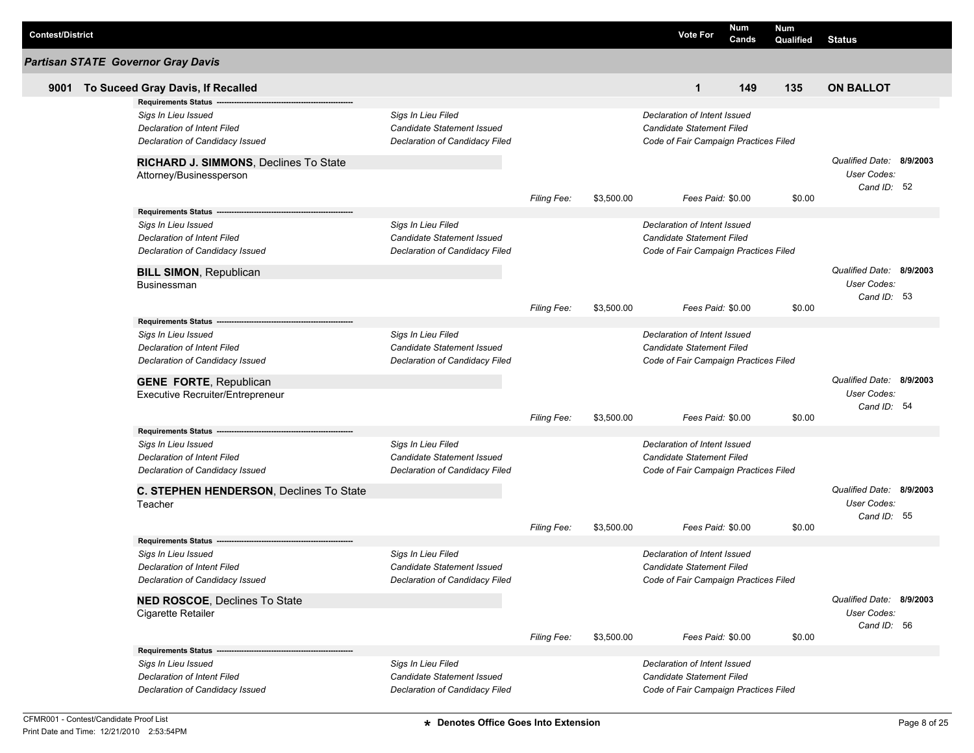| <b>Contest/District</b> |                                                           |                                                  |                    |            | <b>Vote For</b>                       | Num<br>Cands | Num<br>Qualified | <b>Status</b>                           |  |
|-------------------------|-----------------------------------------------------------|--------------------------------------------------|--------------------|------------|---------------------------------------|--------------|------------------|-----------------------------------------|--|
|                         | <b>Partisan STATE Governor Gray Davis</b>                 |                                                  |                    |            |                                       |              |                  |                                         |  |
| 9001                    | To Suceed Gray Davis, If Recalled                         |                                                  |                    |            | $\mathbf 1$                           | 149          | 135              | <b>ON BALLOT</b>                        |  |
|                         | <b>Requirements Status</b>                                |                                                  |                    |            |                                       |              |                  |                                         |  |
|                         | Sigs In Lieu Issued                                       | Sigs In Lieu Filed                               |                    |            | Declaration of Intent Issued          |              |                  |                                         |  |
|                         | Declaration of Intent Filed                               | Candidate Statement Issued                       |                    |            | Candidate Statement Filed             |              |                  |                                         |  |
|                         | Declaration of Candidacy Issued                           | Declaration of Candidacy Filed                   |                    |            | Code of Fair Campaign Practices Filed |              |                  |                                         |  |
|                         | RICHARD J. SIMMONS, Declines To State                     |                                                  |                    |            |                                       |              |                  | Qualified Date: 8/9/2003                |  |
|                         | Attorney/Businessperson                                   |                                                  |                    |            |                                       |              |                  | User Codes:                             |  |
|                         |                                                           |                                                  |                    |            |                                       |              |                  | Cand ID: 52                             |  |
|                         |                                                           |                                                  | Filing Fee:        | \$3,500.00 | Fees Paid: \$0.00                     |              | \$0.00           |                                         |  |
|                         |                                                           |                                                  |                    |            | Declaration of Intent Issued          |              |                  |                                         |  |
|                         | Sigs In Lieu Issued<br><b>Declaration of Intent Filed</b> | Sigs In Lieu Filed<br>Candidate Statement Issued |                    |            | Candidate Statement Filed             |              |                  |                                         |  |
|                         | Declaration of Candidacy Issued                           | Declaration of Candidacy Filed                   |                    |            | Code of Fair Campaign Practices Filed |              |                  |                                         |  |
|                         |                                                           |                                                  |                    |            |                                       |              |                  |                                         |  |
|                         | <b>BILL SIMON, Republican</b>                             |                                                  |                    |            |                                       |              |                  | Qualified Date: 8/9/2003                |  |
|                         | Businessman                                               |                                                  |                    |            |                                       |              |                  | User Codes:                             |  |
|                         |                                                           |                                                  | <b>Filing Fee:</b> | \$3,500.00 | Fees Paid: \$0.00                     |              | \$0.00           | Cand ID: 53                             |  |
|                         | Requirements Status ---                                   |                                                  |                    |            |                                       |              |                  |                                         |  |
|                         | Sigs In Lieu Issued                                       | Sigs In Lieu Filed                               |                    |            | Declaration of Intent Issued          |              |                  |                                         |  |
|                         | Declaration of Intent Filed                               | Candidate Statement Issued                       |                    |            | Candidate Statement Filed             |              |                  |                                         |  |
|                         | Declaration of Candidacy Issued                           | Declaration of Candidacy Filed                   |                    |            | Code of Fair Campaign Practices Filed |              |                  |                                         |  |
|                         |                                                           |                                                  |                    |            |                                       |              |                  |                                         |  |
|                         | <b>GENE FORTE, Republican</b>                             |                                                  |                    |            |                                       |              |                  | Qualified Date: 8/9/2003<br>User Codes: |  |
|                         | Executive Recruiter/Entrepreneur                          |                                                  |                    |            |                                       |              |                  | Cand ID: 54                             |  |
|                         |                                                           |                                                  | <b>Filing Fee:</b> | \$3,500.00 | Fees Paid: \$0.00                     |              | \$0.00           |                                         |  |
|                         | <b>Requirements Status</b>                                |                                                  |                    |            |                                       |              |                  |                                         |  |
|                         | Sigs In Lieu Issued                                       | Sigs In Lieu Filed                               |                    |            | Declaration of Intent Issued          |              |                  |                                         |  |
|                         | <b>Declaration of Intent Filed</b>                        | <b>Candidate Statement Issued</b>                |                    |            | Candidate Statement Filed             |              |                  |                                         |  |
|                         | Declaration of Candidacy Issued                           | Declaration of Candidacy Filed                   |                    |            | Code of Fair Campaign Practices Filed |              |                  |                                         |  |
|                         | C. STEPHEN HENDERSON, Declines To State                   |                                                  |                    |            |                                       |              |                  | Qualified Date: 8/9/2003                |  |
|                         | Teacher                                                   |                                                  |                    |            |                                       |              |                  | User Codes:                             |  |
|                         |                                                           |                                                  |                    |            |                                       |              |                  | Cand ID: 55                             |  |
|                         |                                                           |                                                  | <b>Filing Fee:</b> | \$3,500.00 | Fees Paid: \$0.00                     |              | \$0.00           |                                         |  |
|                         | <b>Requirements Status</b>                                |                                                  |                    |            |                                       |              |                  |                                         |  |
|                         | Sigs In Lieu Issued                                       | Sigs In Lieu Filed                               |                    |            | Declaration of Intent Issued          |              |                  |                                         |  |
|                         | Declaration of Intent Filed                               | Candidate Statement Issued                       |                    |            | Candidate Statement Filed             |              |                  |                                         |  |
|                         | Declaration of Candidacy Issued                           | Declaration of Candidacy Filed                   |                    |            | Code of Fair Campaign Practices Filed |              |                  |                                         |  |
|                         | NED ROSCOE, Declines To State                             |                                                  |                    |            |                                       |              |                  | Qualified Date: 8/9/2003                |  |
|                         | Cigarette Retailer                                        |                                                  |                    |            |                                       |              |                  | User Codes:                             |  |
|                         |                                                           |                                                  | <b>Filing Fee:</b> | \$3,500.00 | Fees Paid: \$0.00                     |              | \$0.00           | Cand ID: 56                             |  |
|                         |                                                           |                                                  |                    |            |                                       |              |                  |                                         |  |
|                         | Sigs In Lieu Issued                                       | Sigs In Lieu Filed                               |                    |            | Declaration of Intent Issued          |              |                  |                                         |  |
|                         | <b>Declaration of Intent Filed</b>                        | Candidate Statement Issued                       |                    |            | Candidate Statement Filed             |              |                  |                                         |  |
|                         | Declaration of Candidacy Issued                           | Declaration of Candidacy Filed                   |                    |            | Code of Fair Campaign Practices Filed |              |                  |                                         |  |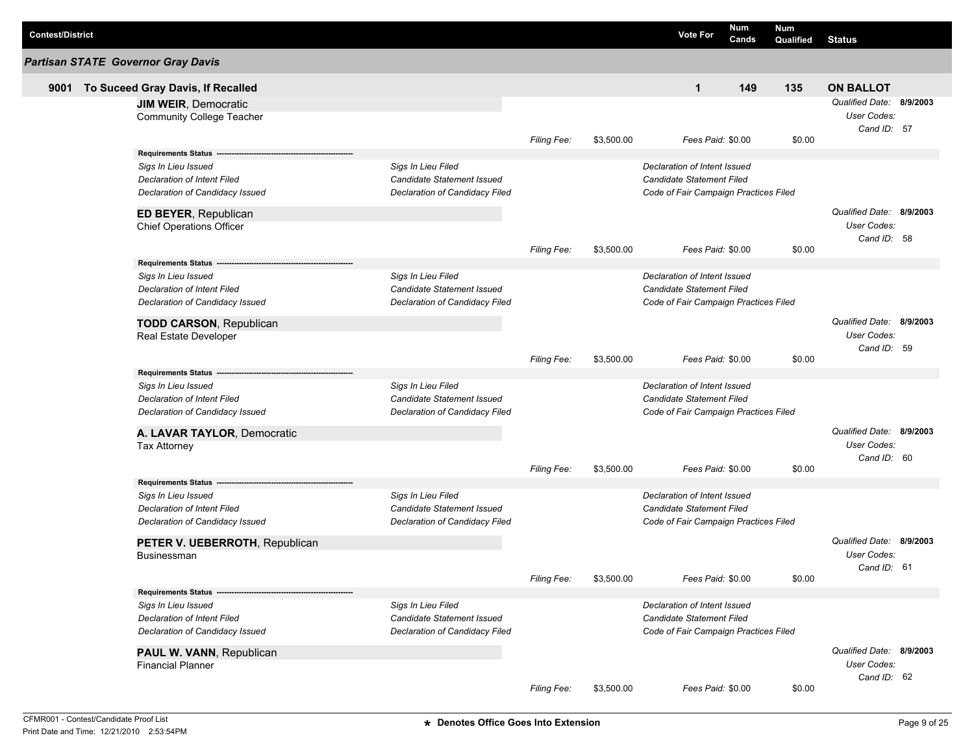| <b>Contest/District</b> |                                                                                                                                                       |                                                                                           |                    |            | <b>Vote For</b>                                                                                           | <b>Num</b><br>Cands | <b>Num</b><br>Qualified | <b>Status</b>                                                 |          |
|-------------------------|-------------------------------------------------------------------------------------------------------------------------------------------------------|-------------------------------------------------------------------------------------------|--------------------|------------|-----------------------------------------------------------------------------------------------------------|---------------------|-------------------------|---------------------------------------------------------------|----------|
|                         | <b>Partisan STATE Governor Gray Davis</b>                                                                                                             |                                                                                           |                    |            |                                                                                                           |                     |                         |                                                               |          |
| 9001                    | To Suceed Gray Davis, If Recalled                                                                                                                     |                                                                                           |                    |            | $\mathbf{1}$                                                                                              | 149                 | 135                     | <b>ON BALLOT</b>                                              |          |
|                         | <b>JIM WEIR, Democratic</b><br><b>Community College Teacher</b>                                                                                       |                                                                                           |                    |            |                                                                                                           |                     |                         | <b>Qualified Date:</b><br>User Codes:<br>Cand ID: 57          | 8/9/2003 |
|                         | <b>Requirements Status</b>                                                                                                                            |                                                                                           | Filing Fee:        | \$3,500.00 | Fees Paid: \$0.00                                                                                         |                     | \$0.00                  |                                                               |          |
|                         | Sigs In Lieu Issued<br>Declaration of Intent Filed<br>Declaration of Candidacy Issued                                                                 | Sigs In Lieu Filed<br>Candidate Statement Issued<br>Declaration of Candidacy Filed        |                    |            | Declaration of Intent Issued<br><b>Candidate Statement Filed</b><br>Code of Fair Campaign Practices Filed |                     |                         |                                                               |          |
|                         | ED BEYER, Republican<br><b>Chief Operations Officer</b>                                                                                               |                                                                                           |                    |            |                                                                                                           |                     |                         | Qualified Date: 8/9/2003<br><b>User Codes:</b><br>Cand ID: 58 |          |
|                         |                                                                                                                                                       |                                                                                           | <b>Filing Fee:</b> | \$3,500.00 | Fees Paid: \$0.00                                                                                         |                     | \$0.00                  |                                                               |          |
|                         | <b>Requirements Status</b><br>Sigs In Lieu Issued<br>Declaration of Intent Filed<br>Declaration of Candidacy Issued<br><b>TODD CARSON, Republican</b> | Sigs In Lieu Filed<br>Candidate Statement Issued<br>Declaration of Candidacy Filed        |                    |            | Declaration of Intent Issued<br><b>Candidate Statement Filed</b><br>Code of Fair Campaign Practices Filed |                     |                         | Qualified Date: 8/9/2003                                      |          |
|                         | Real Estate Developer                                                                                                                                 |                                                                                           | Filing Fee:        | \$3,500.00 | Fees Paid: \$0.00                                                                                         |                     | \$0.00                  | User Codes:<br>Cand ID: 59                                    |          |
|                         | <b>Requirements Status</b><br>Sigs In Lieu Issued<br>Declaration of Intent Filed<br>Declaration of Candidacy Issued                                   | Sigs In Lieu Filed<br>Candidate Statement Issued<br>Declaration of Candidacy Filed        |                    |            | Declaration of Intent Issued<br><b>Candidate Statement Filed</b><br>Code of Fair Campaign Practices Filed |                     |                         |                                                               |          |
|                         | A. LAVAR TAYLOR, Democratic                                                                                                                           |                                                                                           |                    |            |                                                                                                           |                     |                         | Qualified Date: 8/9/2003                                      |          |
|                         | <b>Tax Attorney</b>                                                                                                                                   |                                                                                           | Filing Fee:        | \$3,500.00 | Fees Paid: \$0.00                                                                                         |                     | \$0.00                  | User Codes:<br>Cand ID: 60                                    |          |
|                         | <b>Requirements Status</b><br>Sigs In Lieu Issued<br>Declaration of Intent Filed<br>Declaration of Candidacy Issued                                   | Sigs In Lieu Filed<br>Candidate Statement Issued<br>Declaration of Candidacy Filed        |                    |            | Declaration of Intent Issued<br><b>Candidate Statement Filed</b><br>Code of Fair Campaign Practices Filed |                     |                         |                                                               |          |
|                         | PETER V. UEBERROTH, Republican<br><b>Businessman</b>                                                                                                  |                                                                                           |                    |            |                                                                                                           |                     |                         | Qualified Date: 8/9/2003<br>User Codes:                       |          |
|                         |                                                                                                                                                       |                                                                                           | Filing Fee:        | \$3,500.00 | Fees Paid: \$0.00                                                                                         |                     | \$0.00                  | Cand ID: 61                                                   |          |
|                         | <b>Requirements Status -</b><br>Sigs In Lieu Issued<br>Declaration of Intent Filed<br>Declaration of Candidacy Issued                                 | Sigs In Lieu Filed<br><b>Candidate Statement Issued</b><br>Declaration of Candidacy Filed |                    |            | Declaration of Intent Issued<br><b>Candidate Statement Filed</b><br>Code of Fair Campaign Practices Filed |                     |                         |                                                               |          |
|                         | PAUL W. VANN, Republican<br><b>Financial Planner</b>                                                                                                  |                                                                                           | Filing Fee:        | \$3,500.00 | Fees Paid: \$0.00                                                                                         |                     | \$0.00                  | Qualified Date: 8/9/2003<br>User Codes:<br>Cand ID: 62        |          |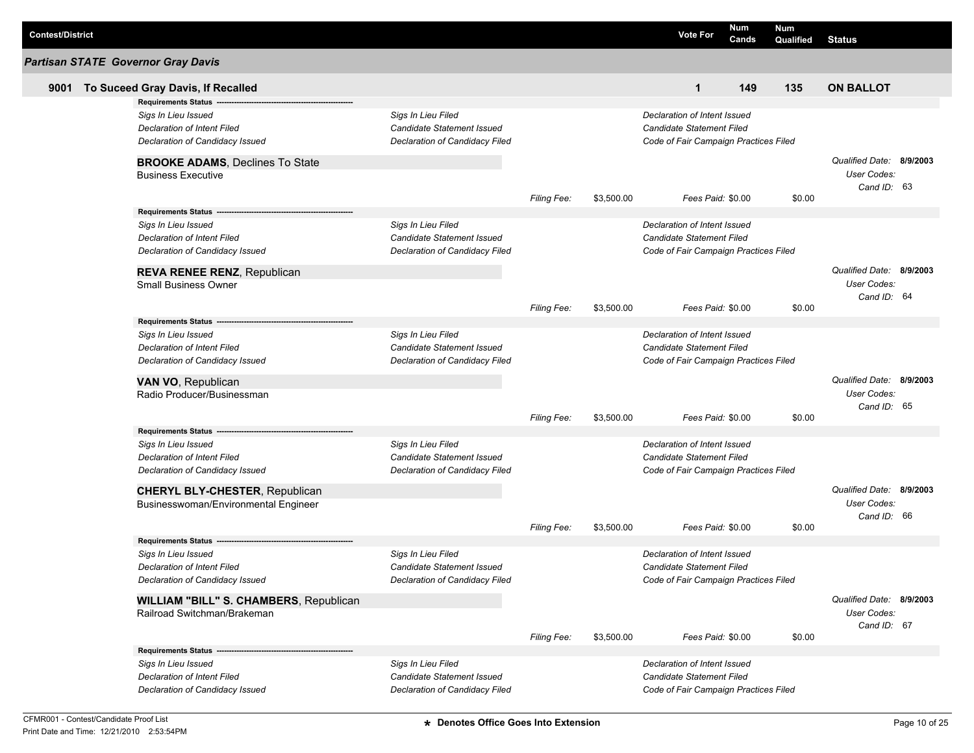| <b>Contest/District</b> |                                                           |                                   |                    |            | <b>Vote For</b>                       | Num<br>Cands | <b>Num</b><br>Qualified | <b>Status</b>              |  |
|-------------------------|-----------------------------------------------------------|-----------------------------------|--------------------|------------|---------------------------------------|--------------|-------------------------|----------------------------|--|
|                         | <b>Partisan STATE Governor Gray Davis</b>                 |                                   |                    |            |                                       |              |                         |                            |  |
| 9001                    | To Suceed Gray Davis, If Recalled                         |                                   |                    |            | $\mathbf{1}$                          | 149          | 135                     | <b>ON BALLOT</b>           |  |
|                         | <b>Requirements Status</b>                                |                                   |                    |            |                                       |              |                         |                            |  |
|                         | Sigs In Lieu Issued                                       | Sigs In Lieu Filed                |                    |            | Declaration of Intent Issued          |              |                         |                            |  |
|                         | Declaration of Intent Filed                               | Candidate Statement Issued        |                    |            | Candidate Statement Filed             |              |                         |                            |  |
|                         | Declaration of Candidacy Issued                           | Declaration of Candidacy Filed    |                    |            | Code of Fair Campaign Practices Filed |              |                         |                            |  |
|                         | <b>BROOKE ADAMS, Declines To State</b>                    |                                   |                    |            |                                       |              |                         | Qualified Date: 8/9/2003   |  |
|                         | <b>Business Executive</b>                                 |                                   |                    |            |                                       |              |                         | User Codes:                |  |
|                         |                                                           |                                   |                    |            |                                       |              |                         | Cand ID: 63                |  |
|                         |                                                           |                                   | Filing Fee:        | \$3,500.00 | Fees Paid: \$0.00                     |              | \$0.00                  |                            |  |
|                         |                                                           | Sigs In Lieu Filed                |                    |            | Declaration of Intent Issued          |              |                         |                            |  |
|                         | Sigs In Lieu Issued<br><b>Declaration of Intent Filed</b> | Candidate Statement Issued        |                    |            | Candidate Statement Filed             |              |                         |                            |  |
|                         | Declaration of Candidacy Issued                           | Declaration of Candidacy Filed    |                    |            | Code of Fair Campaign Practices Filed |              |                         |                            |  |
|                         |                                                           |                                   |                    |            |                                       |              |                         |                            |  |
|                         | REVA RENEE RENZ, Republican                               |                                   |                    |            |                                       |              |                         | Qualified Date: 8/9/2003   |  |
|                         | <b>Small Business Owner</b>                               |                                   |                    |            |                                       |              |                         | User Codes:                |  |
|                         |                                                           |                                   | <b>Filing Fee:</b> | \$3,500.00 | Fees Paid: \$0.00                     |              | \$0.00                  | Cand ID: 64                |  |
|                         | Requirements Status ---                                   |                                   |                    |            |                                       |              |                         |                            |  |
|                         | Sigs In Lieu Issued                                       | Sigs In Lieu Filed                |                    |            | Declaration of Intent Issued          |              |                         |                            |  |
|                         | Declaration of Intent Filed                               | Candidate Statement Issued        |                    |            | Candidate Statement Filed             |              |                         |                            |  |
|                         | Declaration of Candidacy Issued                           | Declaration of Candidacy Filed    |                    |            | Code of Fair Campaign Practices Filed |              |                         |                            |  |
|                         | VAN VO, Republican                                        |                                   |                    |            |                                       |              |                         | Qualified Date: 8/9/2003   |  |
|                         | Radio Producer/Businessman                                |                                   |                    |            |                                       |              |                         | User Codes:                |  |
|                         |                                                           |                                   |                    |            |                                       |              |                         | Cand ID: 65                |  |
|                         |                                                           |                                   | <b>Filing Fee:</b> | \$3,500.00 | Fees Paid: \$0.00                     |              | \$0.00                  |                            |  |
|                         | <b>Requirements Status</b>                                |                                   |                    |            |                                       |              |                         |                            |  |
|                         | Sigs In Lieu Issued                                       | Sigs In Lieu Filed                |                    |            | Declaration of Intent Issued          |              |                         |                            |  |
|                         | <b>Declaration of Intent Filed</b>                        | <b>Candidate Statement Issued</b> |                    |            | Candidate Statement Filed             |              |                         |                            |  |
|                         | Declaration of Candidacy Issued                           | Declaration of Candidacy Filed    |                    |            | Code of Fair Campaign Practices Filed |              |                         |                            |  |
|                         | <b>CHERYL BLY-CHESTER, Republican</b>                     |                                   |                    |            |                                       |              |                         | Qualified Date: 8/9/2003   |  |
|                         | Businesswoman/Environmental Engineer                      |                                   |                    |            |                                       |              |                         | User Codes:                |  |
|                         |                                                           |                                   |                    |            |                                       |              |                         | Cand ID: 66                |  |
|                         | <b>Requirements Status</b>                                |                                   | <b>Filing Fee:</b> | \$3,500.00 | Fees Paid: \$0.00                     |              | \$0.00                  |                            |  |
|                         | Sigs In Lieu Issued                                       | Sigs In Lieu Filed                |                    |            | Declaration of Intent Issued          |              |                         |                            |  |
|                         | Declaration of Intent Filed                               | Candidate Statement Issued        |                    |            | <b>Candidate Statement Filed</b>      |              |                         |                            |  |
|                         | Declaration of Candidacy Issued                           | Declaration of Candidacy Filed    |                    |            | Code of Fair Campaign Practices Filed |              |                         |                            |  |
|                         |                                                           |                                   |                    |            |                                       |              |                         |                            |  |
|                         | <b>WILLIAM "BILL" S. CHAMBERS, Republican</b>             |                                   |                    |            |                                       |              |                         | Qualified Date: 8/9/2003   |  |
|                         | Railroad Switchman/Brakeman                               |                                   |                    |            |                                       |              |                         | User Codes:<br>Cand ID: 67 |  |
|                         |                                                           |                                   | <b>Filing Fee:</b> | \$3,500.00 | Fees Paid: \$0.00                     |              | \$0.00                  |                            |  |
|                         |                                                           |                                   |                    |            |                                       |              |                         |                            |  |
|                         | Sigs In Lieu Issued                                       | Sigs In Lieu Filed                |                    |            | Declaration of Intent Issued          |              |                         |                            |  |
|                         | <b>Declaration of Intent Filed</b>                        | <b>Candidate Statement Issued</b> |                    |            | Candidate Statement Filed             |              |                         |                            |  |
|                         | Declaration of Candidacy Issued                           | Declaration of Candidacy Filed    |                    |            | Code of Fair Campaign Practices Filed |              |                         |                            |  |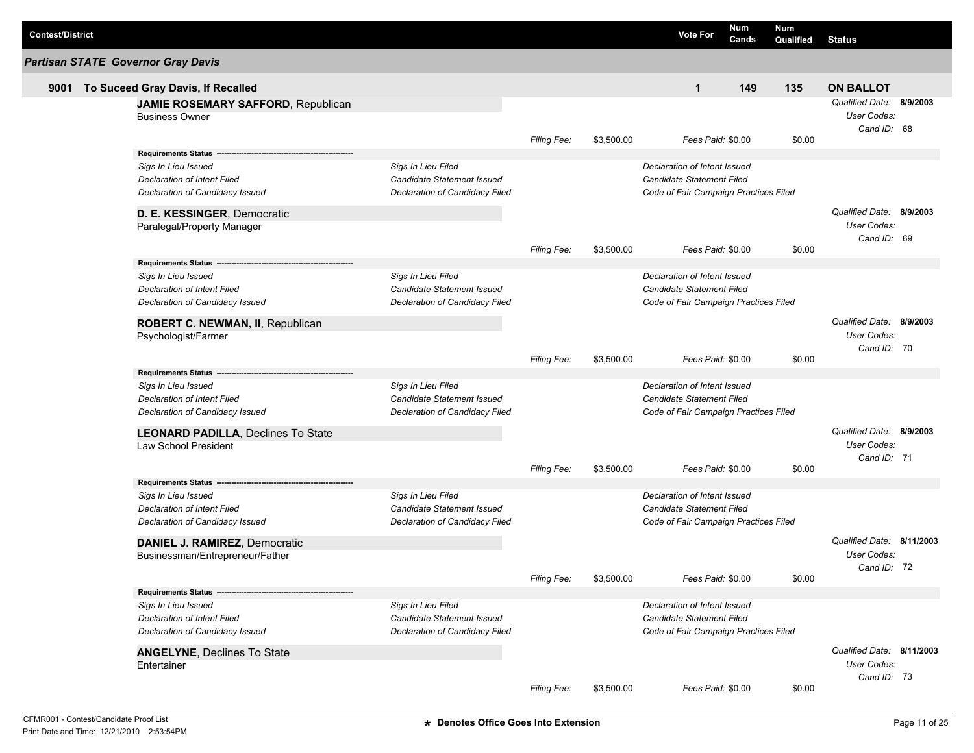| <b>Contest/District</b> |                                                                                                                            |                                                                                           |                    |            | <b>Vote For</b>                                                                                    | <b>Num</b><br>Cands | <b>Num</b><br>Qualified | <b>Status</b>                                           |  |
|-------------------------|----------------------------------------------------------------------------------------------------------------------------|-------------------------------------------------------------------------------------------|--------------------|------------|----------------------------------------------------------------------------------------------------|---------------------|-------------------------|---------------------------------------------------------|--|
|                         | <b>Partisan STATE Governor Gray Davis</b>                                                                                  |                                                                                           |                    |            |                                                                                                    |                     |                         |                                                         |  |
| 9001                    | To Suceed Gray Davis, If Recalled                                                                                          |                                                                                           |                    |            | $\mathbf{1}$                                                                                       | 149                 | 135                     | <b>ON BALLOT</b>                                        |  |
|                         | JAMIE ROSEMARY SAFFORD, Republican<br><b>Business Owner</b>                                                                |                                                                                           |                    |            |                                                                                                    |                     |                         | Qualified Date: 8/9/2003<br>User Codes:<br>Cand ID: 68  |  |
|                         |                                                                                                                            |                                                                                           | Filing Fee:        | \$3,500.00 | Fees Paid: \$0.00                                                                                  |                     | \$0.00                  |                                                         |  |
|                         | <b>Requirements Status</b><br>Sigs In Lieu Issued<br><b>Declaration of Intent Filed</b><br>Declaration of Candidacy Issued | Sigs In Lieu Filed<br>Candidate Statement Issued<br>Declaration of Candidacy Filed        |                    |            | Declaration of Intent Issued<br>Candidate Statement Filed<br>Code of Fair Campaign Practices Filed |                     |                         |                                                         |  |
|                         | D. E. KESSINGER, Democratic<br>Paralegal/Property Manager                                                                  |                                                                                           | <b>Filing Fee:</b> | \$3,500.00 | Fees Paid: \$0.00                                                                                  |                     | \$0.00                  | Qualified Date: 8/9/2003<br>User Codes:<br>Cand ID: 69  |  |
|                         | <b>Requirements Status</b>                                                                                                 |                                                                                           |                    |            |                                                                                                    |                     |                         |                                                         |  |
|                         | Sigs In Lieu Issued<br>Declaration of Intent Filed<br>Declaration of Candidacy Issued                                      | Sigs In Lieu Filed<br>Candidate Statement Issued<br>Declaration of Candidacy Filed        |                    |            | Declaration of Intent Issued<br>Candidate Statement Filed<br>Code of Fair Campaign Practices Filed |                     |                         |                                                         |  |
|                         | ROBERT C. NEWMAN, II, Republican<br>Psychologist/Farmer                                                                    |                                                                                           | Filing Fee:        | \$3,500.00 | Fees Paid: \$0.00                                                                                  |                     | \$0.00                  | Qualified Date: 8/9/2003<br>User Codes:<br>Cand ID: 70  |  |
|                         | <b>Requirements Status</b>                                                                                                 |                                                                                           |                    |            |                                                                                                    |                     |                         |                                                         |  |
|                         | Sigs In Lieu Issued<br><b>Declaration of Intent Filed</b><br>Declaration of Candidacy Issued                               | Sigs In Lieu Filed<br><b>Candidate Statement Issued</b><br>Declaration of Candidacy Filed |                    |            | Declaration of Intent Issued<br>Candidate Statement Filed<br>Code of Fair Campaign Practices Filed |                     |                         |                                                         |  |
|                         | <b>LEONARD PADILLA, Declines To State</b><br><b>Law School President</b>                                                   |                                                                                           |                    |            |                                                                                                    |                     |                         | Qualified Date: 8/9/2003<br>User Codes:<br>Cand ID: 71  |  |
|                         |                                                                                                                            |                                                                                           | <b>Filing Fee:</b> | \$3,500.00 | Fees Paid: \$0.00                                                                                  |                     | \$0.00                  |                                                         |  |
|                         | <b>Requirements Status</b><br>Sigs In Lieu Issued<br><b>Declaration of Intent Filed</b><br>Declaration of Candidacy Issued | Sigs In Lieu Filed<br>Candidate Statement Issued<br>Declaration of Candidacy Filed        |                    |            | Declaration of Intent Issued<br>Candidate Statement Filed<br>Code of Fair Campaign Practices Filed |                     |                         |                                                         |  |
|                         | DANIEL J. RAMIREZ, Democratic<br>Businessman/Entrepreneur/Father                                                           |                                                                                           |                    |            |                                                                                                    |                     |                         | Qualified Date: 8/11/2003<br>User Codes:                |  |
|                         |                                                                                                                            |                                                                                           | Filing Fee:        | \$3,500.00 | Fees Paid: \$0.00                                                                                  |                     | \$0.00                  | Cand ID: 72                                             |  |
|                         | Requirements Status ---                                                                                                    |                                                                                           |                    |            |                                                                                                    |                     |                         |                                                         |  |
|                         | Sigs In Lieu Issued<br><b>Declaration of Intent Filed</b><br>Declaration of Candidacy Issued                               | Sigs In Lieu Filed<br>Candidate Statement Issued<br>Declaration of Candidacy Filed        |                    |            | Declaration of Intent Issued<br>Candidate Statement Filed<br>Code of Fair Campaign Practices Filed |                     |                         |                                                         |  |
|                         | <b>ANGELYNE, Declines To State</b><br>Entertainer                                                                          |                                                                                           |                    |            |                                                                                                    |                     |                         | Qualified Date: 8/11/2003<br>User Codes:<br>Cand ID: 73 |  |
|                         |                                                                                                                            |                                                                                           | Filing Fee:        | \$3,500.00 | Fees Paid: \$0.00                                                                                  |                     | \$0.00                  |                                                         |  |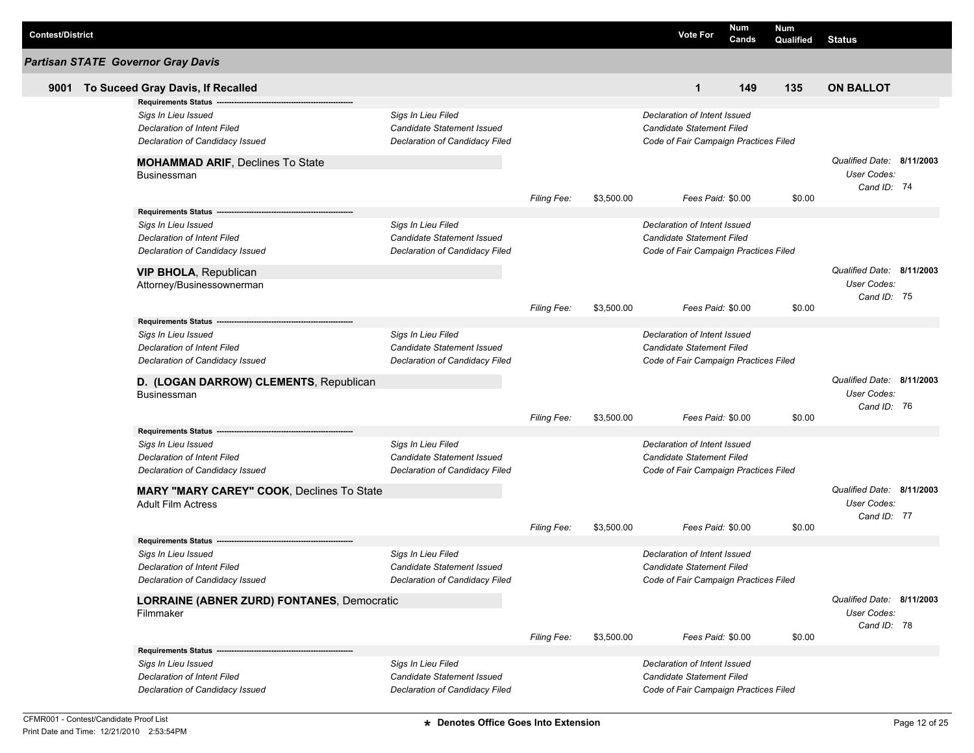| <b>Contest/District</b> |                                                    |                                |                    |            | <b>Vote For</b>                                                  | Num<br>Cands | <b>Num</b><br>Qualified | <b>Status</b>             |  |
|-------------------------|----------------------------------------------------|--------------------------------|--------------------|------------|------------------------------------------------------------------|--------------|-------------------------|---------------------------|--|
|                         | <b>Partisan STATE Governor Gray Davis</b>          |                                |                    |            |                                                                  |              |                         |                           |  |
| 9001                    | To Suceed Gray Davis, If Recalled                  |                                |                    |            | $\mathbf{1}$                                                     | 149          | 135                     | <b>ON BALLOT</b>          |  |
|                         | <b>Requirements Status</b>                         |                                |                    |            |                                                                  |              |                         |                           |  |
|                         | Sigs In Lieu Issued                                | Sigs In Lieu Filed             |                    |            | Declaration of Intent Issued                                     |              |                         |                           |  |
|                         | Declaration of Intent Filed                        | Candidate Statement Issued     |                    |            | <b>Candidate Statement Filed</b>                                 |              |                         |                           |  |
|                         | Declaration of Candidacy Issued                    | Declaration of Candidacy Filed |                    |            | Code of Fair Campaign Practices Filed                            |              |                         |                           |  |
|                         | <b>MOHAMMAD ARIF, Declines To State</b>            |                                |                    |            |                                                                  |              |                         | Qualified Date: 8/11/2003 |  |
|                         | Businessman                                        |                                |                    |            |                                                                  |              |                         | User Codes:               |  |
|                         |                                                    |                                | Filing Fee:        | \$3,500.00 | Fees Paid: \$0.00                                                |              | \$0.00                  | Cand ID: 74               |  |
|                         | Requirements Status -----                          |                                |                    |            |                                                                  |              |                         |                           |  |
|                         | Sigs In Lieu Issued                                | Sigs In Lieu Filed             |                    |            | Declaration of Intent Issued                                     |              |                         |                           |  |
|                         | Declaration of Intent Filed                        | Candidate Statement Issued     |                    |            | <b>Candidate Statement Filed</b>                                 |              |                         |                           |  |
|                         | Declaration of Candidacy Issued                    | Declaration of Candidacy Filed |                    |            | Code of Fair Campaign Practices Filed                            |              |                         |                           |  |
|                         | <b>VIP BHOLA, Republican</b>                       |                                |                    |            |                                                                  |              |                         | Qualified Date: 8/11/2003 |  |
|                         | Attorney/Businessownerman                          |                                |                    |            |                                                                  |              |                         | User Codes:               |  |
|                         |                                                    |                                |                    |            |                                                                  |              |                         | Cand ID: 75               |  |
|                         |                                                    |                                | <b>Filing Fee:</b> | \$3,500.00 | Fees Paid: \$0.00                                                |              | \$0.00                  |                           |  |
|                         | <b>Requirements Status --</b>                      |                                |                    |            |                                                                  |              |                         |                           |  |
|                         | Sigs In Lieu Issued                                | Sigs In Lieu Filed             |                    |            | Declaration of Intent Issued                                     |              |                         |                           |  |
|                         | Declaration of Intent Filed                        | Candidate Statement Issued     |                    |            | <b>Candidate Statement Filed</b>                                 |              |                         |                           |  |
|                         | Declaration of Candidacy Issued                    | Declaration of Candidacy Filed |                    |            | Code of Fair Campaign Practices Filed                            |              |                         |                           |  |
|                         | D. (LOGAN DARROW) CLEMENTS, Republican             |                                |                    |            |                                                                  |              |                         | Qualified Date: 8/11/2003 |  |
|                         | <b>Businessman</b>                                 |                                |                    |            |                                                                  |              |                         | User Codes:               |  |
|                         |                                                    |                                |                    |            |                                                                  |              |                         | Cand ID: 76               |  |
|                         |                                                    |                                | <b>Filing Fee:</b> | \$3,500.00 | Fees Paid: \$0.00                                                |              | \$0.00                  |                           |  |
|                         | <b>Requirements Status</b>                         | Sigs In Lieu Filed             |                    |            |                                                                  |              |                         |                           |  |
|                         | Sigs In Lieu Issued<br>Declaration of Intent Filed | Candidate Statement Issued     |                    |            | Declaration of Intent Issued<br><b>Candidate Statement Filed</b> |              |                         |                           |  |
|                         | Declaration of Candidacy Issued                    | Declaration of Candidacy Filed |                    |            | Code of Fair Campaign Practices Filed                            |              |                         |                           |  |
|                         |                                                    |                                |                    |            |                                                                  |              |                         |                           |  |
|                         | MARY "MARY CAREY" COOK, Declines To State          |                                |                    |            |                                                                  |              |                         | Qualified Date: 8/11/2003 |  |
|                         | <b>Adult Film Actress</b>                          |                                |                    |            |                                                                  |              |                         | User Codes:               |  |
|                         |                                                    |                                | <b>Filing Fee:</b> | \$3,500.00 | Fees Paid: \$0.00                                                |              | \$0.00                  | Cand ID: 77               |  |
|                         | <b>Requirements Status</b>                         |                                |                    |            |                                                                  |              |                         |                           |  |
|                         | Sigs In Lieu Issued                                | Sigs In Lieu Filed             |                    |            | Declaration of Intent Issued                                     |              |                         |                           |  |
|                         | Declaration of Intent Filed                        | Candidate Statement Issued     |                    |            | <b>Candidate Statement Filed</b>                                 |              |                         |                           |  |
|                         | Declaration of Candidacy Issued                    | Declaration of Candidacy Filed |                    |            | Code of Fair Campaign Practices Filed                            |              |                         |                           |  |
|                         | <b>LORRAINE (ABNER ZURD) FONTANES, Democratic</b>  |                                |                    |            |                                                                  |              |                         | Qualified Date: 8/11/2003 |  |
|                         | Filmmaker                                          |                                |                    |            |                                                                  |              |                         | User Codes:               |  |
|                         |                                                    |                                |                    |            |                                                                  |              |                         | Cand ID: 78               |  |
|                         |                                                    |                                | Filing Fee:        | \$3,500.00 | Fees Paid: \$0.00                                                |              | \$0.00                  |                           |  |
|                         |                                                    |                                |                    |            |                                                                  |              |                         |                           |  |
|                         | Sigs In Lieu Issued                                | Sigs In Lieu Filed             |                    |            | Declaration of Intent Issued                                     |              |                         |                           |  |
|                         | Declaration of Intent Filed                        | Candidate Statement Issued     |                    |            | <b>Candidate Statement Filed</b>                                 |              |                         |                           |  |
|                         | Declaration of Candidacy Issued                    | Declaration of Candidacy Filed |                    |            | Code of Fair Campaign Practices Filed                            |              |                         |                           |  |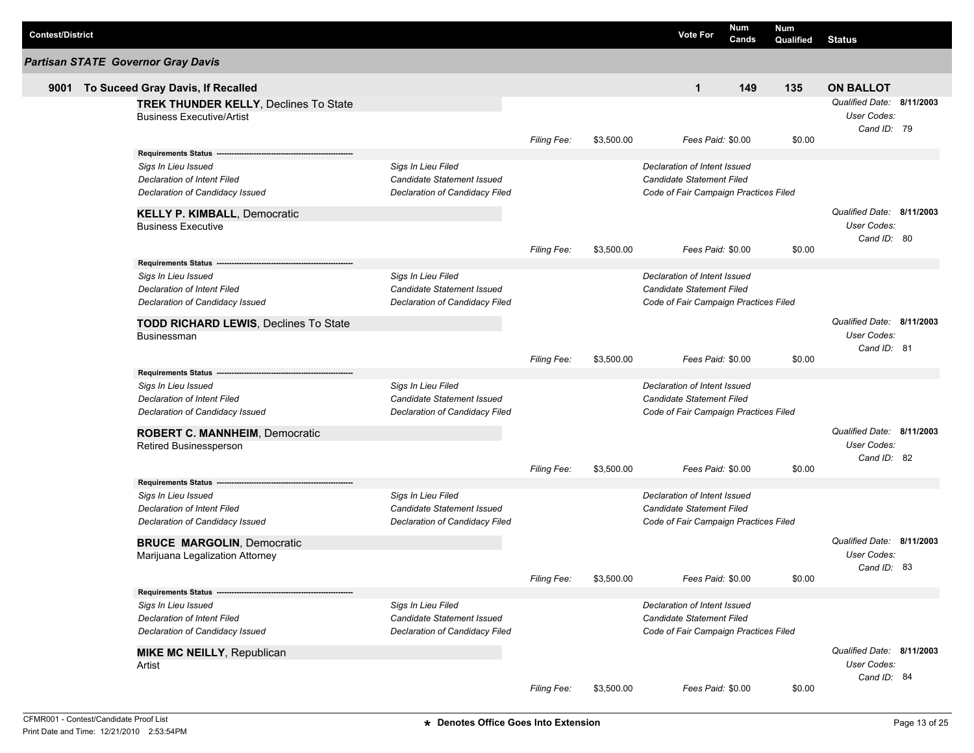| <b>Contest/District</b> |                                                                                                                                                                     |                                                                                           |                    |            | <b>Vote For</b>                                                                                           | Num<br>Cands | <b>Num</b><br>Qualified | <b>Status</b>                                                  |  |
|-------------------------|---------------------------------------------------------------------------------------------------------------------------------------------------------------------|-------------------------------------------------------------------------------------------|--------------------|------------|-----------------------------------------------------------------------------------------------------------|--------------|-------------------------|----------------------------------------------------------------|--|
|                         | <b>Partisan STATE Governor Gray Davis</b>                                                                                                                           |                                                                                           |                    |            |                                                                                                           |              |                         |                                                                |  |
| 9001                    | To Suceed Gray Davis, If Recalled                                                                                                                                   |                                                                                           |                    |            | $\mathbf{1}$                                                                                              | 149          | 135                     | <b>ON BALLOT</b>                                               |  |
|                         | <b>TREK THUNDER KELLY, Declines To State</b><br><b>Business Executive/Artist</b>                                                                                    |                                                                                           |                    |            |                                                                                                           |              |                         | Qualified Date: 8/11/2003<br><b>User Codes:</b><br>Cand ID: 79 |  |
|                         |                                                                                                                                                                     |                                                                                           | <b>Filing Fee:</b> | \$3,500.00 | Fees Paid: \$0.00                                                                                         |              | \$0.00                  |                                                                |  |
|                         | <b>Requirements Status</b><br>Sigs In Lieu Issued<br>Declaration of Intent Filed<br>Declaration of Candidacy Issued                                                 | Sigs In Lieu Filed<br><b>Candidate Statement Issued</b><br>Declaration of Candidacy Filed |                    |            | Declaration of Intent Issued<br>Candidate Statement Filed<br>Code of Fair Campaign Practices Filed        |              |                         |                                                                |  |
|                         | <b>KELLY P. KIMBALL, Democratic</b><br><b>Business Executive</b>                                                                                                    |                                                                                           |                    |            |                                                                                                           |              |                         | Qualified Date: 8/11/2003<br>User Codes:<br>Cand ID: 80        |  |
|                         |                                                                                                                                                                     |                                                                                           | <b>Filing Fee:</b> | \$3,500.00 | Fees Paid: \$0.00                                                                                         |              | \$0.00                  |                                                                |  |
|                         | <b>Requirements Status</b><br>Sigs In Lieu Issued<br>Declaration of Intent Filed<br>Declaration of Candidacy Issued<br><b>TODD RICHARD LEWIS, Declines To State</b> | Sigs In Lieu Filed<br>Candidate Statement Issued<br>Declaration of Candidacy Filed        |                    |            | Declaration of Intent Issued<br><b>Candidate Statement Filed</b><br>Code of Fair Campaign Practices Filed |              |                         | Qualified Date: 8/11/2003                                      |  |
|                         | Businessman                                                                                                                                                         |                                                                                           | Filing Fee:        | \$3,500.00 | Fees Paid: \$0.00                                                                                         |              | \$0.00                  | User Codes:<br>Cand ID: 81                                     |  |
|                         | <b>Requirements Status</b><br>Sigs In Lieu Issued<br>Declaration of Intent Filed<br>Declaration of Candidacy Issued                                                 | Sigs In Lieu Filed<br>Candidate Statement Issued<br>Declaration of Candidacy Filed        |                    |            | Declaration of Intent Issued<br>Candidate Statement Filed<br>Code of Fair Campaign Practices Filed        |              |                         |                                                                |  |
|                         | <b>ROBERT C. MANNHEIM, Democratic</b><br>Retired Businessperson                                                                                                     |                                                                                           |                    |            |                                                                                                           |              |                         | Qualified Date: 8/11/2003<br>User Codes:<br>Cand ID: 82        |  |
|                         |                                                                                                                                                                     |                                                                                           | <b>Filing Fee:</b> | \$3,500.00 | Fees Paid: \$0.00                                                                                         |              | \$0.00                  |                                                                |  |
|                         | <b>Requirements Status</b><br>Sigs In Lieu Issued<br>Declaration of Intent Filed<br>Declaration of Candidacy Issued                                                 | Sigs In Lieu Filed<br>Candidate Statement Issued<br>Declaration of Candidacy Filed        |                    |            | Declaration of Intent Issued<br>Candidate Statement Filed<br>Code of Fair Campaign Practices Filed        |              |                         |                                                                |  |
|                         | <b>BRUCE MARGOLIN, Democratic</b><br>Marijuana Legalization Attorney                                                                                                |                                                                                           |                    |            |                                                                                                           |              |                         | Qualified Date: 8/11/2003<br>User Codes:                       |  |
|                         |                                                                                                                                                                     |                                                                                           | <b>Filing Fee:</b> | \$3,500.00 | Fees Paid: \$0.00                                                                                         |              | \$0.00                  | Cand ID: 83                                                    |  |
|                         | Requirements Status -<br>Sigs In Lieu Issued<br>Declaration of Intent Filed<br>Declaration of Candidacy Issued                                                      | Sigs In Lieu Filed<br>Candidate Statement Issued<br>Declaration of Candidacy Filed        |                    |            | Declaration of Intent Issued<br>Candidate Statement Filed<br>Code of Fair Campaign Practices Filed        |              |                         |                                                                |  |
|                         | <b>MIKE MC NEILLY, Republican</b><br>Artist                                                                                                                         |                                                                                           | Filing Fee:        |            |                                                                                                           |              |                         | Qualified Date: 8/11/2003<br>User Codes:<br>Cand ID: 84        |  |
|                         |                                                                                                                                                                     |                                                                                           |                    | \$3,500.00 | Fees Paid: \$0.00                                                                                         |              | \$0.00                  |                                                                |  |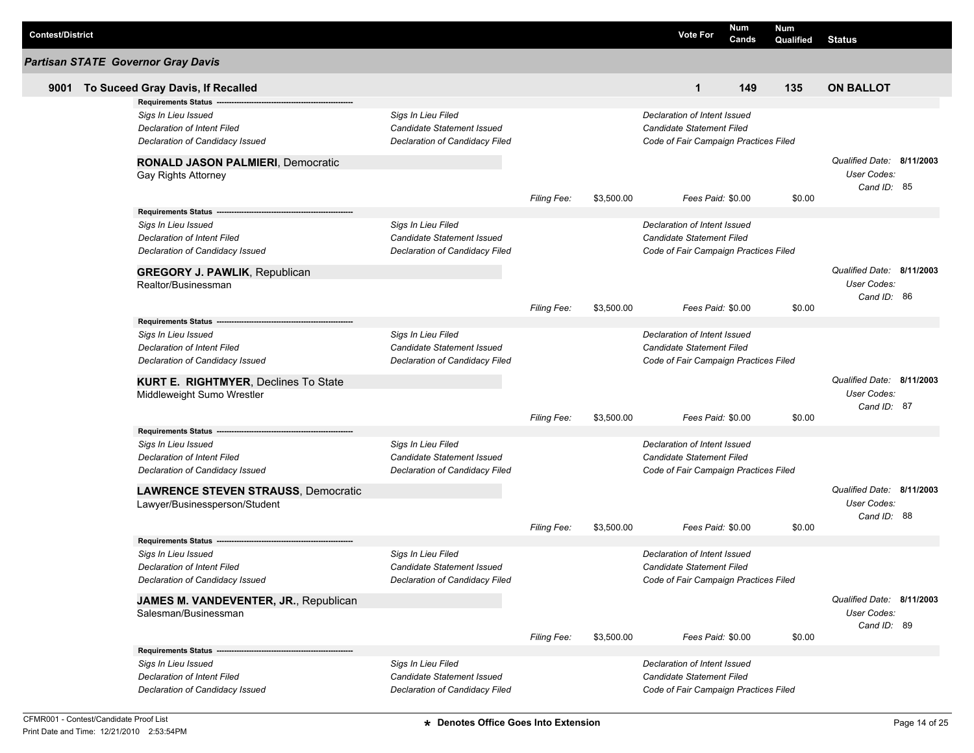| <b>Contest/District</b> |                                                                           |                                |                    |            | <b>Vote For</b>                       | Num<br>Cands | Num<br>Qualified | <b>Status</b>             |  |
|-------------------------|---------------------------------------------------------------------------|--------------------------------|--------------------|------------|---------------------------------------|--------------|------------------|---------------------------|--|
|                         | <b>Partisan STATE Governor Gray Davis</b>                                 |                                |                    |            |                                       |              |                  |                           |  |
| 9001                    | To Suceed Gray Davis, If Recalled                                         |                                |                    |            | 1                                     | 149          | 135              | <b>ON BALLOT</b>          |  |
|                         | <b>Requirements Status</b>                                                |                                |                    |            |                                       |              |                  |                           |  |
|                         | Sigs In Lieu Issued                                                       | Sigs In Lieu Filed             |                    |            | Declaration of Intent Issued          |              |                  |                           |  |
|                         | <b>Declaration of Intent Filed</b>                                        | Candidate Statement Issued     |                    |            | Candidate Statement Filed             |              |                  |                           |  |
|                         | Declaration of Candidacy Issued                                           | Declaration of Candidacy Filed |                    |            | Code of Fair Campaign Practices Filed |              |                  |                           |  |
|                         | <b>RONALD JASON PALMIERI, Democratic</b>                                  |                                |                    |            |                                       |              |                  | Qualified Date: 8/11/2003 |  |
|                         | Gay Rights Attorney                                                       |                                |                    |            |                                       |              |                  | User Codes:               |  |
|                         |                                                                           |                                | <b>Filing Fee:</b> | \$3,500.00 | Fees Paid: \$0.00                     |              | \$0.00           | Cand ID: 85               |  |
|                         | <b>Requirements Status -</b>                                              |                                |                    |            |                                       |              |                  |                           |  |
|                         | Sigs In Lieu Issued                                                       | Sigs In Lieu Filed             |                    |            | Declaration of Intent Issued          |              |                  |                           |  |
|                         | <b>Declaration of Intent Filed</b>                                        | Candidate Statement Issued     |                    |            | Candidate Statement Filed             |              |                  |                           |  |
|                         | Declaration of Candidacy Issued                                           | Declaration of Candidacy Filed |                    |            | Code of Fair Campaign Practices Filed |              |                  |                           |  |
|                         |                                                                           |                                |                    |            |                                       |              |                  |                           |  |
|                         | <b>GREGORY J. PAWLIK, Republican</b>                                      |                                |                    |            |                                       |              |                  | Qualified Date: 8/11/2003 |  |
|                         | Realtor/Businessman                                                       |                                |                    |            |                                       |              |                  | User Codes:               |  |
|                         |                                                                           |                                | <b>Filing Fee:</b> | \$3,500.00 | Fees Paid: \$0.00                     |              | \$0.00           | Cand ID: 86               |  |
|                         | <b>Requirements Status</b>                                                |                                |                    |            |                                       |              |                  |                           |  |
|                         | Sigs In Lieu Issued                                                       | Sigs In Lieu Filed             |                    |            | Declaration of Intent Issued          |              |                  |                           |  |
|                         | Declaration of Intent Filed                                               | Candidate Statement Issued     |                    |            | Candidate Statement Filed             |              |                  |                           |  |
|                         | Declaration of Candidacy Issued                                           | Declaration of Candidacy Filed |                    |            | Code of Fair Campaign Practices Filed |              |                  |                           |  |
|                         |                                                                           |                                |                    |            |                                       |              |                  | Qualified Date: 8/11/2003 |  |
|                         | <b>KURT E. RIGHTMYER, Declines To State</b><br>Middleweight Sumo Wrestler |                                |                    |            |                                       |              |                  | User Codes:               |  |
|                         |                                                                           |                                |                    |            |                                       |              |                  | Cand ID: 87               |  |
|                         |                                                                           |                                | <b>Filing Fee:</b> | \$3,500.00 | Fees Paid: \$0.00                     |              | \$0.00           |                           |  |
|                         | <b>Requirements Status</b>                                                |                                |                    |            |                                       |              |                  |                           |  |
|                         | Sigs In Lieu Issued                                                       | Sigs In Lieu Filed             |                    |            | Declaration of Intent Issued          |              |                  |                           |  |
|                         | <b>Declaration of Intent Filed</b>                                        | Candidate Statement Issued     |                    |            | <b>Candidate Statement Filed</b>      |              |                  |                           |  |
|                         | Declaration of Candidacy Issued                                           | Declaration of Candidacy Filed |                    |            | Code of Fair Campaign Practices Filed |              |                  |                           |  |
|                         | <b>LAWRENCE STEVEN STRAUSS, Democratic</b>                                |                                |                    |            |                                       |              |                  | Qualified Date: 8/11/2003 |  |
|                         | Lawyer/Businessperson/Student                                             |                                |                    |            |                                       |              |                  | User Codes:               |  |
|                         |                                                                           |                                |                    |            |                                       |              |                  | Cand ID: 88               |  |
|                         |                                                                           |                                | <b>Filing Fee:</b> | \$3,500.00 | Fees Paid: \$0.00                     |              | \$0.00           |                           |  |
|                         | Requirements Status --<br>Sigs In Lieu Issued                             | Sigs In Lieu Filed             |                    |            | Declaration of Intent Issued          |              |                  |                           |  |
|                         | Declaration of Intent Filed                                               | Candidate Statement Issued     |                    |            | <b>Candidate Statement Filed</b>      |              |                  |                           |  |
|                         | Declaration of Candidacy Issued                                           | Declaration of Candidacy Filed |                    |            | Code of Fair Campaign Practices Filed |              |                  |                           |  |
|                         |                                                                           |                                |                    |            |                                       |              |                  |                           |  |
|                         | JAMES M. VANDEVENTER, JR., Republican                                     |                                |                    |            |                                       |              |                  | Qualified Date: 8/11/2003 |  |
|                         | Salesman/Businessman                                                      |                                |                    |            |                                       |              |                  | User Codes:               |  |
|                         |                                                                           |                                | <b>Filing Fee:</b> | \$3,500.00 | Fees Paid: \$0.00                     |              | \$0.00           | Cand ID: 89               |  |
|                         |                                                                           |                                |                    |            |                                       |              |                  |                           |  |
|                         | Sigs In Lieu Issued                                                       | Sigs In Lieu Filed             |                    |            | Declaration of Intent Issued          |              |                  |                           |  |
|                         | <b>Declaration of Intent Filed</b>                                        | Candidate Statement Issued     |                    |            | Candidate Statement Filed             |              |                  |                           |  |
|                         | Declaration of Candidacy Issued                                           | Declaration of Candidacy Filed |                    |            | Code of Fair Campaign Practices Filed |              |                  |                           |  |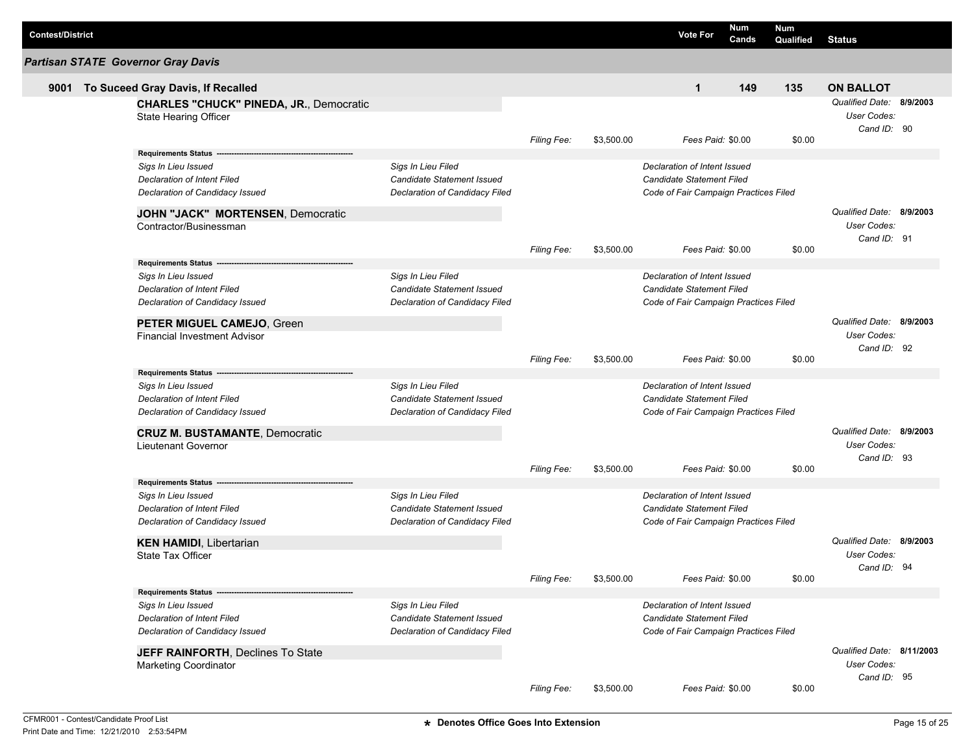| <b>Contest/District</b> |                                                                                                                                                                 |                                                                                           |                    |            | <b>Vote For</b>                                                                                    | <b>Num</b><br>Cands | Num<br>Qualified | <b>Status</b>                                           |  |
|-------------------------|-----------------------------------------------------------------------------------------------------------------------------------------------------------------|-------------------------------------------------------------------------------------------|--------------------|------------|----------------------------------------------------------------------------------------------------|---------------------|------------------|---------------------------------------------------------|--|
|                         | <b>Partisan STATE Governor Gray Davis</b>                                                                                                                       |                                                                                           |                    |            |                                                                                                    |                     |                  |                                                         |  |
| 9001                    | To Suceed Gray Davis, If Recalled                                                                                                                               |                                                                                           |                    |            | $\mathbf{1}$                                                                                       | 149                 | 135              | <b>ON BALLOT</b>                                        |  |
|                         | <b>CHARLES "CHUCK" PINEDA, JR., Democratic</b><br>State Hearing Officer                                                                                         |                                                                                           |                    |            |                                                                                                    |                     |                  | Qualified Date: 8/9/2003<br>User Codes:<br>Cand ID: 90  |  |
|                         |                                                                                                                                                                 |                                                                                           | Filing Fee:        | \$3,500.00 | Fees Paid: \$0.00                                                                                  |                     | \$0.00           |                                                         |  |
|                         | <b>Requirements Status</b><br>Sigs In Lieu Issued<br><b>Declaration of Intent Filed</b><br>Declaration of Candidacy Issued<br>JOHN "JACK" MORTENSEN, Democratic | Sigs In Lieu Filed<br>Candidate Statement Issued<br>Declaration of Candidacy Filed        |                    |            | Declaration of Intent Issued<br>Candidate Statement Filed<br>Code of Fair Campaign Practices Filed |                     |                  | Qualified Date: 8/9/2003                                |  |
|                         | Contractor/Businessman                                                                                                                                          |                                                                                           | <b>Filing Fee:</b> | \$3,500.00 | Fees Paid: \$0.00                                                                                  |                     | \$0.00           | User Codes:<br>Cand ID: 91                              |  |
|                         | <b>Requirements Status</b>                                                                                                                                      |                                                                                           |                    |            |                                                                                                    |                     |                  |                                                         |  |
|                         | Sigs In Lieu Issued<br>Declaration of Intent Filed<br>Declaration of Candidacy Issued                                                                           | Sigs In Lieu Filed<br>Candidate Statement Issued<br>Declaration of Candidacy Filed        |                    |            | Declaration of Intent Issued<br>Candidate Statement Filed<br>Code of Fair Campaign Practices Filed |                     |                  |                                                         |  |
|                         | PETER MIGUEL CAMEJO, Green<br><b>Financial Investment Advisor</b>                                                                                               |                                                                                           |                    |            | Fees Paid: \$0.00                                                                                  |                     |                  | Qualified Date: 8/9/2003<br>User Codes:<br>Cand ID: 92  |  |
|                         | <b>Requirements Status</b>                                                                                                                                      |                                                                                           | Filing Fee:        | \$3,500.00 |                                                                                                    |                     | \$0.00           |                                                         |  |
|                         | Sigs In Lieu Issued<br>Declaration of Intent Filed<br>Declaration of Candidacy Issued                                                                           | Sigs In Lieu Filed<br><b>Candidate Statement Issued</b><br>Declaration of Candidacy Filed |                    |            | Declaration of Intent Issued<br>Candidate Statement Filed<br>Code of Fair Campaign Practices Filed |                     |                  |                                                         |  |
|                         | <b>CRUZ M. BUSTAMANTE, Democratic</b>                                                                                                                           |                                                                                           |                    |            |                                                                                                    |                     |                  | Qualified Date: 8/9/2003                                |  |
|                         | <b>Lieutenant Governor</b>                                                                                                                                      |                                                                                           | <b>Filing Fee:</b> | \$3,500.00 | Fees Paid: \$0.00                                                                                  |                     | \$0.00           | User Codes:<br>Cand ID: 93                              |  |
|                         | <b>Requirements Status</b>                                                                                                                                      |                                                                                           |                    |            |                                                                                                    |                     |                  |                                                         |  |
|                         | Sigs In Lieu Issued<br><b>Declaration of Intent Filed</b><br>Declaration of Candidacy Issued                                                                    | Sigs In Lieu Filed<br><b>Candidate Statement Issued</b><br>Declaration of Candidacy Filed |                    |            | Declaration of Intent Issued<br>Candidate Statement Filed<br>Code of Fair Campaign Practices Filed |                     |                  |                                                         |  |
|                         | <b>KEN HAMIDI, Libertarian</b><br><b>State Tax Officer</b>                                                                                                      |                                                                                           |                    |            |                                                                                                    |                     |                  | Qualified Date: 8/9/2003<br>User Codes:                 |  |
|                         |                                                                                                                                                                 |                                                                                           | Filing Fee:        | \$3,500.00 | Fees Paid: \$0.00                                                                                  |                     | \$0.00           | Cand ID: 94                                             |  |
|                         | Requirements Status ---                                                                                                                                         |                                                                                           |                    |            |                                                                                                    |                     |                  |                                                         |  |
|                         | Sigs In Lieu Issued<br>Declaration of Intent Filed<br>Declaration of Candidacy Issued                                                                           | Sigs In Lieu Filed<br>Candidate Statement Issued<br>Declaration of Candidacy Filed        |                    |            | Declaration of Intent Issued<br>Candidate Statement Filed<br>Code of Fair Campaign Practices Filed |                     |                  |                                                         |  |
|                         | <b>JEFF RAINFORTH, Declines To State</b><br><b>Marketing Coordinator</b>                                                                                        |                                                                                           |                    |            |                                                                                                    |                     |                  | Qualified Date: 8/11/2003<br>User Codes:<br>Cand ID: 95 |  |
|                         |                                                                                                                                                                 |                                                                                           | Filing Fee:        | \$3,500.00 | Fees Paid: \$0.00                                                                                  |                     | \$0.00           |                                                         |  |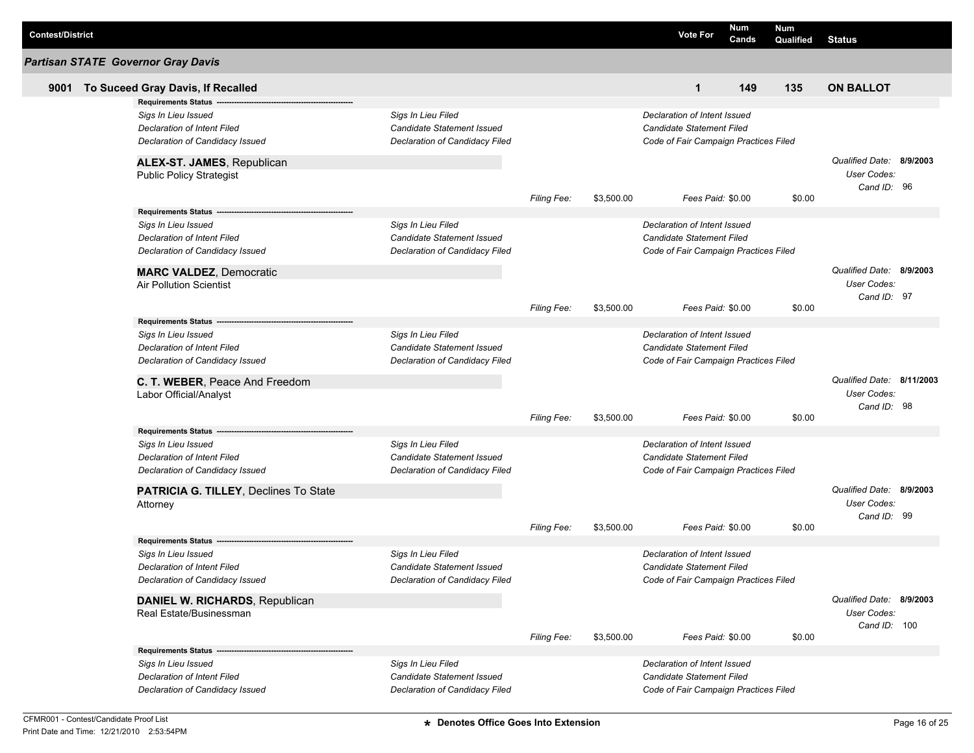| <b>Contest/District</b> |                                                           |                                                  |                    |            | <b>Vote For</b>                                           | Num<br>Cands | <b>Num</b><br>Qualified | <b>Status</b>             |  |
|-------------------------|-----------------------------------------------------------|--------------------------------------------------|--------------------|------------|-----------------------------------------------------------|--------------|-------------------------|---------------------------|--|
|                         | <b>Partisan STATE Governor Gray Davis</b>                 |                                                  |                    |            |                                                           |              |                         |                           |  |
| 9001                    | To Suceed Gray Davis, If Recalled                         |                                                  |                    |            | $\mathbf{1}$                                              | 149          | 135                     | <b>ON BALLOT</b>          |  |
|                         | <b>Requirements Status</b>                                |                                                  |                    |            |                                                           |              |                         |                           |  |
|                         | Sigs In Lieu Issued                                       | Sigs In Lieu Filed                               |                    |            | Declaration of Intent Issued                              |              |                         |                           |  |
|                         | Declaration of Intent Filed                               | Candidate Statement Issued                       |                    |            | Candidate Statement Filed                                 |              |                         |                           |  |
|                         | Declaration of Candidacy Issued                           | Declaration of Candidacy Filed                   |                    |            | Code of Fair Campaign Practices Filed                     |              |                         |                           |  |
|                         | ALEX-ST. JAMES, Republican                                |                                                  |                    |            |                                                           |              |                         | Qualified Date: 8/9/2003  |  |
|                         | <b>Public Policy Strategist</b>                           |                                                  |                    |            |                                                           |              |                         | User Codes:               |  |
|                         |                                                           |                                                  | <b>Filing Fee:</b> | \$3,500.00 | Fees Paid: \$0.00                                         |              | \$0.00                  | Cand ID: 96               |  |
|                         | <b>Requirements Status -</b>                              |                                                  |                    |            |                                                           |              |                         |                           |  |
|                         | Sigs In Lieu Issued                                       | Sigs In Lieu Filed                               |                    |            | Declaration of Intent Issued                              |              |                         |                           |  |
|                         | <b>Declaration of Intent Filed</b>                        | Candidate Statement Issued                       |                    |            | Candidate Statement Filed                                 |              |                         |                           |  |
|                         | Declaration of Candidacy Issued                           | Declaration of Candidacy Filed                   |                    |            | Code of Fair Campaign Practices Filed                     |              |                         |                           |  |
|                         | <b>MARC VALDEZ, Democratic</b>                            |                                                  |                    |            |                                                           |              |                         | Qualified Date: 8/9/2003  |  |
|                         | <b>Air Pollution Scientist</b>                            |                                                  |                    |            |                                                           |              |                         | User Codes:               |  |
|                         |                                                           |                                                  |                    |            |                                                           |              |                         | Cand ID: 97               |  |
|                         |                                                           |                                                  | <b>Filing Fee:</b> | \$3,500.00 | Fees Paid: \$0.00                                         |              | \$0.00                  |                           |  |
|                         | <b>Requirements Status</b>                                |                                                  |                    |            |                                                           |              |                         |                           |  |
|                         | Sigs In Lieu Issued<br><b>Declaration of Intent Filed</b> | Sigs In Lieu Filed<br>Candidate Statement Issued |                    |            | Declaration of Intent Issued<br>Candidate Statement Filed |              |                         |                           |  |
|                         | Declaration of Candidacy Issued                           | Declaration of Candidacy Filed                   |                    |            | Code of Fair Campaign Practices Filed                     |              |                         |                           |  |
|                         |                                                           |                                                  |                    |            |                                                           |              |                         |                           |  |
|                         | C. T. WEBER, Peace And Freedom                            |                                                  |                    |            |                                                           |              |                         | Qualified Date: 8/11/2003 |  |
|                         | Labor Official/Analyst                                    |                                                  |                    |            |                                                           |              |                         | <b>User Codes:</b>        |  |
|                         |                                                           |                                                  | <b>Filing Fee:</b> | \$3,500.00 | Fees Paid: \$0.00                                         |              | \$0.00                  | Cand ID: 98               |  |
|                         | <b>Requirements Status</b>                                |                                                  |                    |            |                                                           |              |                         |                           |  |
|                         | Sigs In Lieu Issued                                       | Sigs In Lieu Filed                               |                    |            | Declaration of Intent Issued                              |              |                         |                           |  |
|                         | Declaration of Intent Filed                               | Candidate Statement Issued                       |                    |            | Candidate Statement Filed                                 |              |                         |                           |  |
|                         | Declaration of Candidacy Issued                           | Declaration of Candidacy Filed                   |                    |            | Code of Fair Campaign Practices Filed                     |              |                         |                           |  |
|                         | PATRICIA G. TILLEY, Declines To State                     |                                                  |                    |            |                                                           |              |                         | Qualified Date: 8/9/2003  |  |
|                         | Attorney                                                  |                                                  |                    |            |                                                           |              |                         | User Codes:               |  |
|                         |                                                           |                                                  |                    |            |                                                           |              |                         | Cand ID: 99               |  |
|                         |                                                           |                                                  | <b>Filing Fee:</b> | \$3,500.00 | Fees Paid: \$0.00                                         |              | \$0.00                  |                           |  |
|                         | <b>Requirements Status</b>                                |                                                  |                    |            |                                                           |              |                         |                           |  |
|                         | Sigs In Lieu Issued                                       | Sigs In Lieu Filed                               |                    |            | Declaration of Intent Issued                              |              |                         |                           |  |
|                         | Declaration of Intent Filed                               | Candidate Statement Issued                       |                    |            | Candidate Statement Filed                                 |              |                         |                           |  |
|                         | Declaration of Candidacy Issued                           | Declaration of Candidacy Filed                   |                    |            | Code of Fair Campaign Practices Filed                     |              |                         |                           |  |
|                         | DANIEL W. RICHARDS, Republican                            |                                                  |                    |            |                                                           |              |                         | Qualified Date: 8/9/2003  |  |
|                         | Real Estate/Businessman                                   |                                                  |                    |            |                                                           |              |                         | User Codes:               |  |
|                         |                                                           |                                                  | <b>Filing Fee:</b> | \$3,500.00 | Fees Paid: \$0.00                                         |              | \$0.00                  | Cand ID: 100              |  |
|                         | Requirements Status --                                    |                                                  |                    |            |                                                           |              |                         |                           |  |
|                         | Sigs In Lieu Issued                                       | Sigs In Lieu Filed                               |                    |            | Declaration of Intent Issued                              |              |                         |                           |  |
|                         | <b>Declaration of Intent Filed</b>                        | Candidate Statement Issued                       |                    |            | Candidate Statement Filed                                 |              |                         |                           |  |
|                         | Declaration of Candidacy Issued                           | Declaration of Candidacy Filed                   |                    |            | Code of Fair Campaign Practices Filed                     |              |                         |                           |  |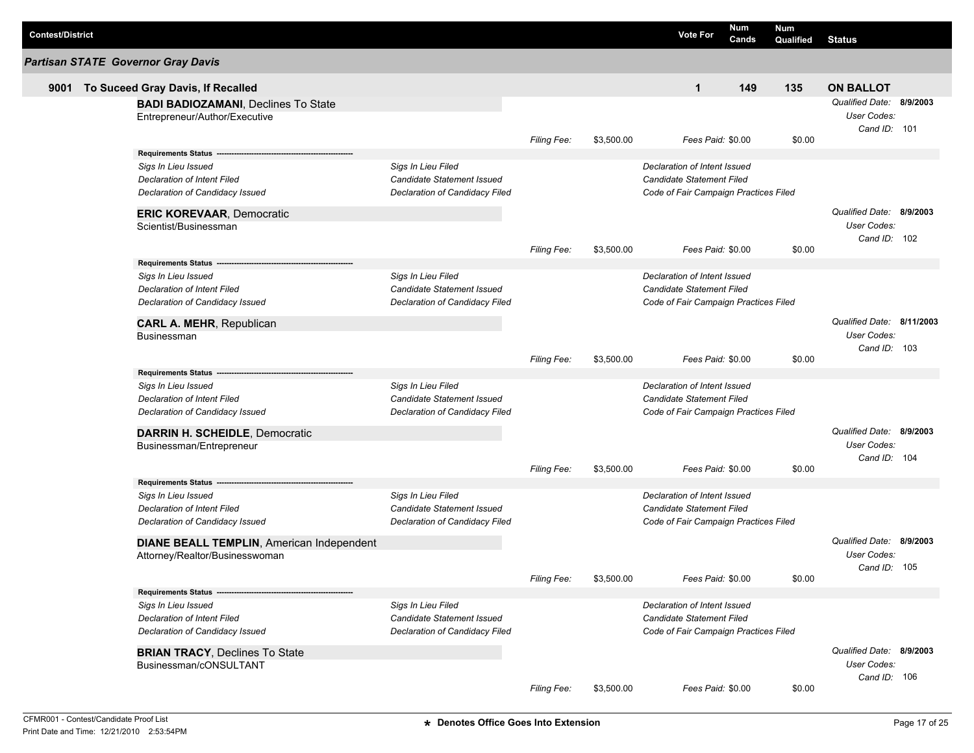| <b>Contest/District</b> |                                                                                                                                                               |                                                                                           |                    |            | <b>Vote For</b>                                                                                    | Num<br>Cands | Num<br>Qualified | <b>Status</b>                                           |  |
|-------------------------|---------------------------------------------------------------------------------------------------------------------------------------------------------------|-------------------------------------------------------------------------------------------|--------------------|------------|----------------------------------------------------------------------------------------------------|--------------|------------------|---------------------------------------------------------|--|
|                         | <b>Partisan STATE Governor Gray Davis</b>                                                                                                                     |                                                                                           |                    |            |                                                                                                    |              |                  |                                                         |  |
| 9001                    | To Suceed Gray Davis, If Recalled                                                                                                                             |                                                                                           |                    |            | $\mathbf{1}$                                                                                       | 149          | 135              | <b>ON BALLOT</b>                                        |  |
|                         | <b>BADI BADIOZAMANI, Declines To State</b><br>Entrepreneur/Author/Executive                                                                                   |                                                                                           |                    |            |                                                                                                    |              |                  | Qualified Date: 8/9/2003<br>User Codes:<br>Cand ID: 101 |  |
|                         |                                                                                                                                                               |                                                                                           | <b>Filing Fee:</b> | \$3,500.00 | Fees Paid: \$0.00                                                                                  |              | \$0.00           |                                                         |  |
|                         | Requirements Status --<br>Sigs In Lieu Issued<br><b>Declaration of Intent Filed</b><br>Declaration of Candidacy Issued                                        | Sigs In Lieu Filed<br><b>Candidate Statement Issued</b><br>Declaration of Candidacy Filed |                    |            | Declaration of Intent Issued<br>Candidate Statement Filed<br>Code of Fair Campaign Practices Filed |              |                  |                                                         |  |
|                         | <b>ERIC KOREVAAR, Democratic</b><br>Scientist/Businessman                                                                                                     |                                                                                           |                    |            |                                                                                                    |              |                  | Qualified Date: 8/9/2003<br>User Codes:<br>Cand ID: 102 |  |
|                         |                                                                                                                                                               |                                                                                           | <b>Filing Fee:</b> | \$3,500.00 | Fees Paid: \$0.00                                                                                  |              | \$0.00           |                                                         |  |
|                         | <b>Requirements Status</b><br>Sigs In Lieu Issued<br><b>Declaration of Intent Filed</b><br>Declaration of Candidacy Issued<br><b>CARL A. MEHR, Republican</b> | Sigs In Lieu Filed<br>Candidate Statement Issued<br>Declaration of Candidacy Filed        |                    |            | Declaration of Intent Issued<br>Candidate Statement Filed<br>Code of Fair Campaign Practices Filed |              |                  | Qualified Date: 8/11/2003                               |  |
|                         | Businessman                                                                                                                                                   |                                                                                           | <b>Filing Fee:</b> | \$3,500.00 | Fees Paid: \$0.00                                                                                  |              | \$0.00           | User Codes:<br>Cand ID: 103                             |  |
|                         | <b>Requirements Status</b><br>Sigs In Lieu Issued<br>Declaration of Intent Filed<br>Declaration of Candidacy Issued                                           | Sigs In Lieu Filed<br>Candidate Statement Issued<br>Declaration of Candidacy Filed        |                    |            | Declaration of Intent Issued<br>Candidate Statement Filed<br>Code of Fair Campaign Practices Filed |              |                  |                                                         |  |
|                         | <b>DARRIN H. SCHEIDLE, Democratic</b><br>Businessman/Entrepreneur                                                                                             |                                                                                           |                    |            |                                                                                                    |              |                  | Qualified Date: 8/9/2003<br>User Codes:<br>Cand ID: 104 |  |
|                         |                                                                                                                                                               |                                                                                           | Filing Fee:        | \$3,500.00 | Fees Paid: \$0.00                                                                                  |              | \$0.00           |                                                         |  |
|                         | <b>Requirements Status</b><br>Sigs In Lieu Issued<br>Declaration of Intent Filed<br>Declaration of Candidacy Issued                                           | Sigs In Lieu Filed<br>Candidate Statement Issued<br>Declaration of Candidacy Filed        |                    |            | Declaration of Intent Issued<br>Candidate Statement Filed<br>Code of Fair Campaign Practices Filed |              |                  |                                                         |  |
|                         | <b>DIANE BEALL TEMPLIN, American Independent</b><br>Attorney/Realtor/Businesswoman                                                                            |                                                                                           |                    |            |                                                                                                    |              |                  | Qualified Date: 8/9/2003<br>User Codes:<br>Cand ID: 105 |  |
|                         |                                                                                                                                                               |                                                                                           | Filing Fee:        | \$3,500.00 | Fees Paid: \$0.00                                                                                  |              | \$0.00           |                                                         |  |
|                         | Requirements Status --<br>Sigs In Lieu Issued<br>Declaration of Intent Filed<br>Declaration of Candidacy Issued                                               | Sigs In Lieu Filed<br><b>Candidate Statement Issued</b><br>Declaration of Candidacy Filed |                    |            | Declaration of Intent Issued<br>Candidate Statement Filed<br>Code of Fair Campaign Practices Filed |              |                  |                                                         |  |
|                         | <b>BRIAN TRACY, Declines To State</b><br>Businessman/cONSULTANT                                                                                               |                                                                                           | Filing Fee:        | \$3,500.00 | Fees Paid: \$0.00                                                                                  |              | \$0.00           | Qualified Date: 8/9/2003<br>User Codes:<br>Cand ID: 106 |  |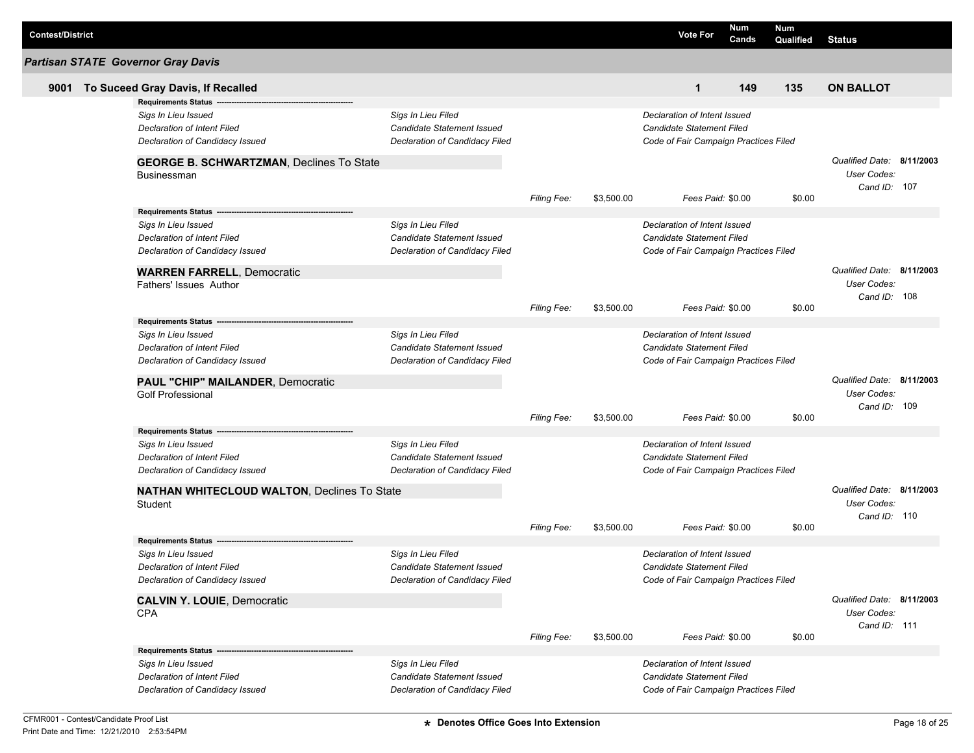| <b>Contest/District</b> |                                                                |                                |                    |            | <b>Vote For</b>                       | Num<br>Cands | <b>Num</b><br>Qualified | <b>Status</b>                                            |  |
|-------------------------|----------------------------------------------------------------|--------------------------------|--------------------|------------|---------------------------------------|--------------|-------------------------|----------------------------------------------------------|--|
|                         | <b>Partisan STATE Governor Gray Davis</b>                      |                                |                    |            |                                       |              |                         |                                                          |  |
| 9001                    | To Suceed Gray Davis, If Recalled                              |                                |                    |            | $\mathbf 1$                           | 149          | 135                     | <b>ON BALLOT</b>                                         |  |
|                         | <b>Requirements Status</b>                                     |                                |                    |            |                                       |              |                         |                                                          |  |
|                         | Sigs In Lieu Issued                                            | Sigs In Lieu Filed             |                    |            | Declaration of Intent Issued          |              |                         |                                                          |  |
|                         | Declaration of Intent Filed                                    | Candidate Statement Issued     |                    |            | <b>Candidate Statement Filed</b>      |              |                         |                                                          |  |
|                         | Declaration of Candidacy Issued                                | Declaration of Candidacy Filed |                    |            | Code of Fair Campaign Practices Filed |              |                         |                                                          |  |
|                         | <b>GEORGE B. SCHWARTZMAN, Declines To State</b><br>Businessman |                                |                    |            |                                       |              |                         | Qualified Date: 8/11/2003<br>User Codes:<br>Cand ID: 107 |  |
|                         |                                                                |                                | <b>Filing Fee:</b> | \$3,500.00 | Fees Paid: \$0.00                     |              | \$0.00                  |                                                          |  |
|                         | <b>Requirements Status</b>                                     |                                |                    |            |                                       |              |                         |                                                          |  |
|                         | Sigs In Lieu Issued                                            | Sigs In Lieu Filed             |                    |            | Declaration of Intent Issued          |              |                         |                                                          |  |
|                         | Declaration of Intent Filed                                    | Candidate Statement Issued     |                    |            | <b>Candidate Statement Filed</b>      |              |                         |                                                          |  |
|                         | Declaration of Candidacy Issued                                | Declaration of Candidacy Filed |                    |            | Code of Fair Campaign Practices Filed |              |                         |                                                          |  |
|                         | <b>WARREN FARRELL, Democratic</b>                              |                                |                    |            |                                       |              |                         | Qualified Date: 8/11/2003                                |  |
|                         | <b>Fathers' Issues Author</b>                                  |                                |                    |            |                                       |              |                         | User Codes:                                              |  |
|                         |                                                                |                                |                    |            |                                       |              |                         | Cand ID: 108                                             |  |
|                         | <b>Requirements Status</b>                                     |                                | <b>Filing Fee:</b> | \$3,500.00 | Fees Paid: \$0.00                     |              | \$0.00                  |                                                          |  |
|                         | Sigs In Lieu Issued                                            | Sigs In Lieu Filed             |                    |            | Declaration of Intent Issued          |              |                         |                                                          |  |
|                         | Declaration of Intent Filed                                    | Candidate Statement Issued     |                    |            | <b>Candidate Statement Filed</b>      |              |                         |                                                          |  |
|                         | Declaration of Candidacy Issued                                | Declaration of Candidacy Filed |                    |            | Code of Fair Campaign Practices Filed |              |                         |                                                          |  |
|                         |                                                                |                                |                    |            |                                       |              |                         | Qualified Date: 8/11/2003                                |  |
|                         | PAUL "CHIP" MAILANDER, Democratic<br><b>Golf Professional</b>  |                                |                    |            |                                       |              |                         | User Codes:                                              |  |
|                         |                                                                |                                |                    |            |                                       |              |                         | Cand ID: 109                                             |  |
|                         |                                                                |                                | <b>Filing Fee:</b> | \$3,500.00 | Fees Paid: \$0.00                     |              | \$0.00                  |                                                          |  |
|                         | <b>Requirements Status</b>                                     |                                |                    |            |                                       |              |                         |                                                          |  |
|                         | Sigs In Lieu Issued                                            | Sigs In Lieu Filed             |                    |            | Declaration of Intent Issued          |              |                         |                                                          |  |
|                         | <b>Declaration of Intent Filed</b>                             | Candidate Statement Issued     |                    |            | <b>Candidate Statement Filed</b>      |              |                         |                                                          |  |
|                         | Declaration of Candidacy Issued                                | Declaration of Candidacy Filed |                    |            | Code of Fair Campaign Practices Filed |              |                         |                                                          |  |
|                         | <b>NATHAN WHITECLOUD WALTON, Declines To State</b>             |                                |                    |            |                                       |              |                         | Qualified Date: 8/11/2003                                |  |
|                         | Student                                                        |                                |                    |            |                                       |              |                         | User Codes:                                              |  |
|                         |                                                                |                                |                    |            |                                       |              |                         | Cand ID: 110                                             |  |
|                         | <b>Requirements Status</b>                                     |                                | <b>Filing Fee:</b> | \$3,500.00 | Fees Paid: \$0.00                     |              | \$0.00                  |                                                          |  |
|                         | Sigs In Lieu Issued                                            | Sigs In Lieu Filed             |                    |            | Declaration of Intent Issued          |              |                         |                                                          |  |
|                         | Declaration of Intent Filed                                    | Candidate Statement Issued     |                    |            | Candidate Statement Filed             |              |                         |                                                          |  |
|                         | Declaration of Candidacy Issued                                | Declaration of Candidacy Filed |                    |            | Code of Fair Campaign Practices Filed |              |                         |                                                          |  |
|                         |                                                                |                                |                    |            |                                       |              |                         | Qualified Date: 8/11/2003                                |  |
|                         | <b>CALVIN Y. LOUIE, Democratic</b><br>CPA                      |                                |                    |            |                                       |              |                         | User Codes:                                              |  |
|                         |                                                                |                                |                    |            |                                       |              |                         | Cand ID: 111                                             |  |
|                         |                                                                |                                | Filing Fee:        | \$3,500.00 | Fees Paid: \$0.00                     |              | \$0.00                  |                                                          |  |
|                         | Requirements Status --                                         |                                |                    |            |                                       |              |                         |                                                          |  |
|                         | Sigs In Lieu Issued                                            | Sigs In Lieu Filed             |                    |            | Declaration of Intent Issued          |              |                         |                                                          |  |
|                         | <b>Declaration of Intent Filed</b>                             | Candidate Statement Issued     |                    |            | <b>Candidate Statement Filed</b>      |              |                         |                                                          |  |
|                         | Declaration of Candidacy Issued                                | Declaration of Candidacy Filed |                    |            | Code of Fair Campaign Practices Filed |              |                         |                                                          |  |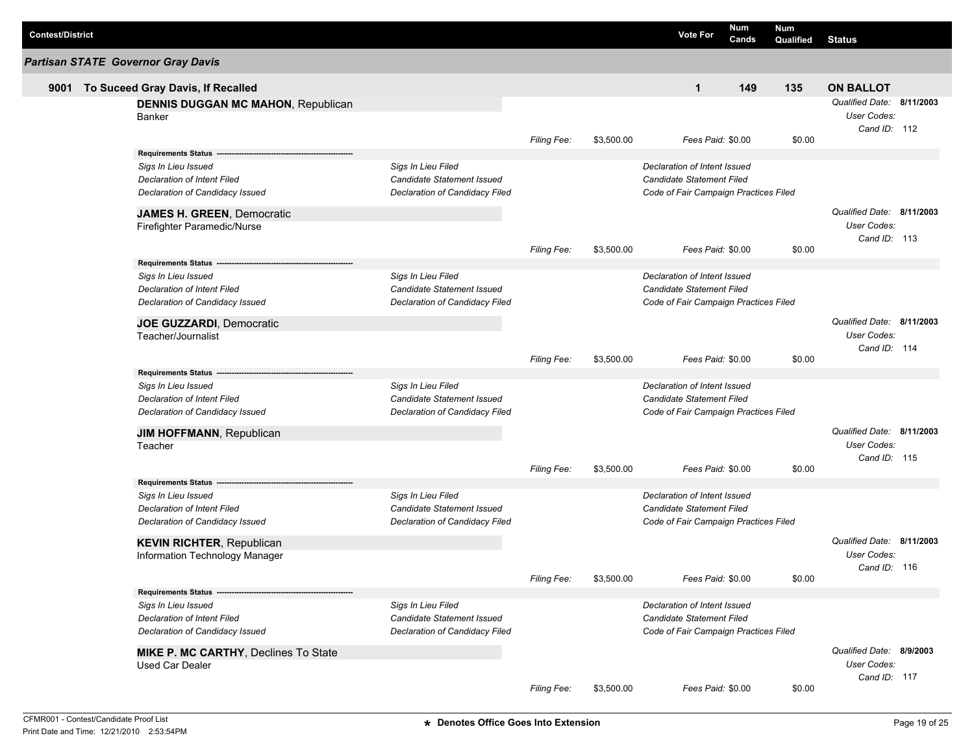| <b>Contest/District</b> |                                                                                                                                                   |                                                                                    |                    |            | <b>Vote For</b>                                                                                           | Num<br>Cands | Num<br>Qualified | <b>Status</b>                                            |  |
|-------------------------|---------------------------------------------------------------------------------------------------------------------------------------------------|------------------------------------------------------------------------------------|--------------------|------------|-----------------------------------------------------------------------------------------------------------|--------------|------------------|----------------------------------------------------------|--|
|                         | <b>Partisan STATE Governor Gray Davis</b>                                                                                                         |                                                                                    |                    |            |                                                                                                           |              |                  |                                                          |  |
| 9001                    | To Suceed Gray Davis, If Recalled                                                                                                                 |                                                                                    |                    |            | 1                                                                                                         | 149          | 135              | <b>ON BALLOT</b>                                         |  |
|                         | <b>DENNIS DUGGAN MC MAHON, Republican</b><br>Banker                                                                                               |                                                                                    |                    |            |                                                                                                           |              |                  | Qualified Date: 8/11/2003<br>User Codes:<br>Cand ID: 112 |  |
|                         |                                                                                                                                                   |                                                                                    | Filing Fee:        | \$3,500.00 | Fees Paid: \$0.00                                                                                         |              | \$0.00           |                                                          |  |
|                         | <b>Requirements Status</b><br>Sigs In Lieu Issued<br>Declaration of Intent Filed<br>Declaration of Candidacy Issued<br>JAMES H. GREEN, Democratic | Sigs In Lieu Filed<br>Candidate Statement Issued<br>Declaration of Candidacy Filed |                    |            | Declaration of Intent Issued<br><b>Candidate Statement Filed</b><br>Code of Fair Campaign Practices Filed |              |                  | Qualified Date: 8/11/2003<br>User Codes:                 |  |
|                         | Firefighter Paramedic/Nurse                                                                                                                       |                                                                                    | <b>Filing Fee:</b> | \$3,500.00 | Fees Paid: \$0.00                                                                                         |              | \$0.00           | Cand ID: 113                                             |  |
|                         | <b>Requirements Status</b>                                                                                                                        |                                                                                    |                    |            |                                                                                                           |              |                  |                                                          |  |
|                         | Sigs In Lieu Issued<br>Declaration of Intent Filed<br>Declaration of Candidacy Issued                                                             | Sigs In Lieu Filed<br>Candidate Statement Issued<br>Declaration of Candidacy Filed |                    |            | Declaration of Intent Issued<br><b>Candidate Statement Filed</b><br>Code of Fair Campaign Practices Filed |              |                  |                                                          |  |
|                         | JOE GUZZARDI, Democratic                                                                                                                          |                                                                                    |                    |            |                                                                                                           |              |                  | Qualified Date: 8/11/2003                                |  |
|                         | Teacher/Journalist                                                                                                                                |                                                                                    | <b>Filing Fee:</b> | \$3,500.00 | Fees Paid: \$0.00                                                                                         |              | \$0.00           | User Codes:<br>Cand ID: 114                              |  |
|                         | <b>Requirements Status</b>                                                                                                                        |                                                                                    |                    |            |                                                                                                           |              |                  |                                                          |  |
|                         | Sigs In Lieu Issued<br>Declaration of Intent Filed<br>Declaration of Candidacy Issued                                                             | Sigs In Lieu Filed<br>Candidate Statement Issued<br>Declaration of Candidacy Filed |                    |            | Declaration of Intent Issued<br><b>Candidate Statement Filed</b><br>Code of Fair Campaign Practices Filed |              |                  |                                                          |  |
|                         | <b>JIM HOFFMANN, Republican</b>                                                                                                                   |                                                                                    |                    |            |                                                                                                           |              |                  | Qualified Date: 8/11/2003                                |  |
|                         | Teacher                                                                                                                                           |                                                                                    | <b>Filing Fee:</b> | \$3,500.00 | Fees Paid: \$0.00                                                                                         |              | \$0.00           | User Codes:<br>Cand ID: 115                              |  |
|                         | <b>Requirements Status</b>                                                                                                                        |                                                                                    |                    |            |                                                                                                           |              |                  |                                                          |  |
|                         | Sigs In Lieu Issued<br>Declaration of Intent Filed<br>Declaration of Candidacy Issued                                                             | Sigs In Lieu Filed<br>Candidate Statement Issued<br>Declaration of Candidacy Filed |                    |            | Declaration of Intent Issued<br><b>Candidate Statement Filed</b><br>Code of Fair Campaign Practices Filed |              |                  |                                                          |  |
|                         | <b>KEVIN RICHTER, Republican</b>                                                                                                                  |                                                                                    |                    |            |                                                                                                           |              |                  | Qualified Date: 8/11/2003                                |  |
|                         | Information Technology Manager                                                                                                                    |                                                                                    | Filing Fee:        | \$3,500.00 | Fees Paid: \$0.00                                                                                         |              | \$0.00           | User Codes:<br>Cand ID: 116                              |  |
|                         | Requirements Status ---                                                                                                                           |                                                                                    |                    |            |                                                                                                           |              |                  |                                                          |  |
|                         | Sigs In Lieu Issued<br>Declaration of Intent Filed<br>Declaration of Candidacy Issued                                                             | Sigs In Lieu Filed<br>Candidate Statement Issued<br>Declaration of Candidacy Filed |                    |            | Declaration of Intent Issued<br><b>Candidate Statement Filed</b><br>Code of Fair Campaign Practices Filed |              |                  |                                                          |  |
|                         | <b>MIKE P. MC CARTHY, Declines To State</b><br><b>Used Car Dealer</b>                                                                             |                                                                                    |                    |            |                                                                                                           |              |                  | Qualified Date: 8/9/2003<br>User Codes:<br>Cand ID: 117  |  |
|                         |                                                                                                                                                   |                                                                                    | Filing Fee:        | \$3,500.00 | Fees Paid: \$0.00                                                                                         |              | \$0.00           |                                                          |  |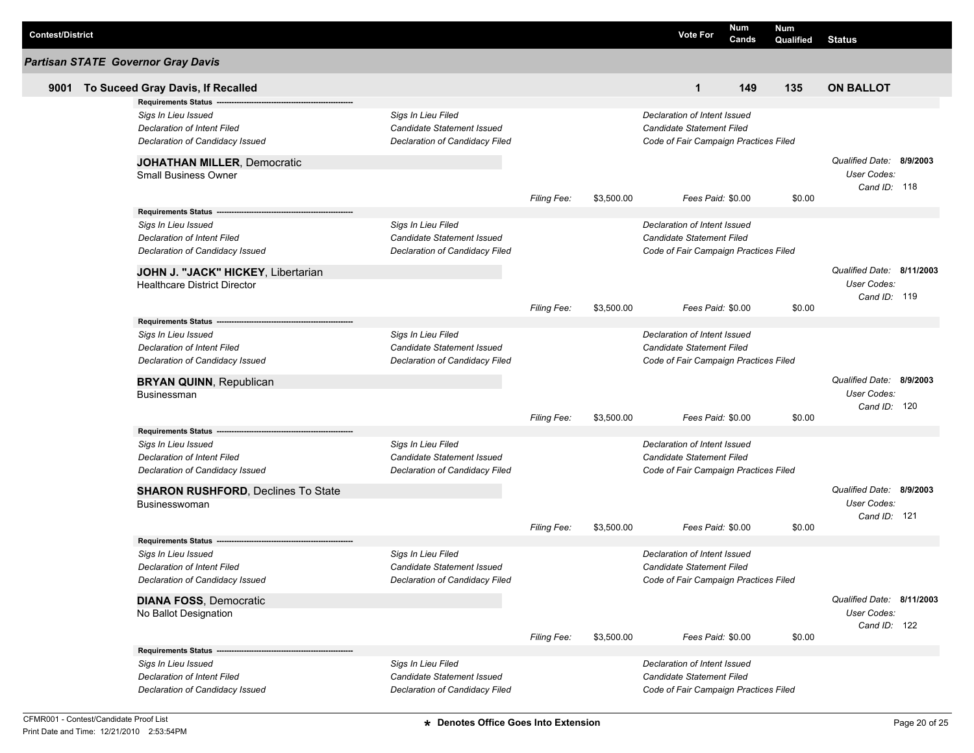| <b>Contest/District</b> |                                                                |                                   |                    |            | <b>Vote For</b>                       | Num<br>Cands | Num<br>Qualified | <b>Status</b>             |  |
|-------------------------|----------------------------------------------------------------|-----------------------------------|--------------------|------------|---------------------------------------|--------------|------------------|---------------------------|--|
|                         | <b>Partisan STATE Governor Gray Davis</b>                      |                                   |                    |            |                                       |              |                  |                           |  |
| 9001                    | To Suceed Gray Davis, If Recalled                              |                                   |                    |            | $\mathbf 1$                           | 149          | 135              | <b>ON BALLOT</b>          |  |
|                         | <b>Requirements Status</b>                                     |                                   |                    |            |                                       |              |                  |                           |  |
|                         | Sigs In Lieu Issued                                            | Sigs In Lieu Filed                |                    |            | Declaration of Intent Issued          |              |                  |                           |  |
|                         | Declaration of Intent Filed                                    | Candidate Statement Issued        |                    |            | Candidate Statement Filed             |              |                  |                           |  |
|                         | Declaration of Candidacy Issued                                | Declaration of Candidacy Filed    |                    |            | Code of Fair Campaign Practices Filed |              |                  |                           |  |
|                         | <b>JOHATHAN MILLER, Democratic</b>                             |                                   |                    |            |                                       |              |                  | Qualified Date: 8/9/2003  |  |
|                         | <b>Small Business Owner</b>                                    |                                   |                    |            |                                       |              |                  | User Codes:               |  |
|                         |                                                                |                                   | Filing Fee:        | \$3,500.00 | Fees Paid: \$0.00                     |              | \$0.00           | Cand ID: 118              |  |
|                         |                                                                |                                   |                    |            |                                       |              |                  |                           |  |
|                         | Sigs In Lieu Issued                                            | Sigs In Lieu Filed                |                    |            | Declaration of Intent Issued          |              |                  |                           |  |
|                         | <b>Declaration of Intent Filed</b>                             | Candidate Statement Issued        |                    |            | Candidate Statement Filed             |              |                  |                           |  |
|                         | Declaration of Candidacy Issued                                | Declaration of Candidacy Filed    |                    |            | Code of Fair Campaign Practices Filed |              |                  |                           |  |
|                         | JOHN J. "JACK" HICKEY, Libertarian                             |                                   |                    |            |                                       |              |                  | Qualified Date: 8/11/2003 |  |
|                         | <b>Healthcare District Director</b>                            |                                   |                    |            |                                       |              |                  | User Codes:               |  |
|                         |                                                                |                                   |                    |            |                                       |              |                  | Cand ID: 119              |  |
|                         |                                                                |                                   | <b>Filing Fee:</b> | \$3,500.00 | Fees Paid: \$0.00                     |              | \$0.00           |                           |  |
|                         | Requirements Status ---                                        |                                   |                    |            |                                       |              |                  |                           |  |
|                         | Sigs In Lieu Issued                                            | Sigs In Lieu Filed                |                    |            | Declaration of Intent Issued          |              |                  |                           |  |
|                         | Declaration of Intent Filed                                    | Candidate Statement Issued        |                    |            | Candidate Statement Filed             |              |                  |                           |  |
|                         | Declaration of Candidacy Issued                                | Declaration of Candidacy Filed    |                    |            | Code of Fair Campaign Practices Filed |              |                  |                           |  |
|                         | <b>BRYAN QUINN, Republican</b>                                 |                                   |                    |            |                                       |              |                  | Qualified Date: 8/9/2003  |  |
|                         | <b>Businessman</b>                                             |                                   |                    |            |                                       |              |                  | User Codes:               |  |
|                         |                                                                |                                   |                    |            |                                       |              |                  | Cand ID: 120              |  |
|                         |                                                                |                                   | <b>Filing Fee:</b> | \$3,500.00 | Fees Paid: \$0.00                     |              | \$0.00           |                           |  |
|                         | <b>Requirements Status</b>                                     | Sigs In Lieu Filed                |                    |            | Declaration of Intent Issued          |              |                  |                           |  |
|                         | Sigs In Lieu Issued                                            | <b>Candidate Statement Issued</b> |                    |            | Candidate Statement Filed             |              |                  |                           |  |
|                         | Declaration of Intent Filed<br>Declaration of Candidacy Issued | Declaration of Candidacy Filed    |                    |            |                                       |              |                  |                           |  |
|                         |                                                                |                                   |                    |            | Code of Fair Campaign Practices Filed |              |                  |                           |  |
|                         | <b>SHARON RUSHFORD, Declines To State</b>                      |                                   |                    |            |                                       |              |                  | Qualified Date: 8/9/2003  |  |
|                         | <b>Businesswoman</b>                                           |                                   |                    |            |                                       |              |                  | User Codes:               |  |
|                         |                                                                |                                   | <b>Filing Fee:</b> | \$3,500.00 | Fees Paid: \$0.00                     |              | \$0.00           | Cand ID: 121              |  |
|                         | <b>Requirements Status</b>                                     |                                   |                    |            |                                       |              |                  |                           |  |
|                         | Sigs In Lieu Issued                                            | Sigs In Lieu Filed                |                    |            | Declaration of Intent Issued          |              |                  |                           |  |
|                         | Declaration of Intent Filed                                    | Candidate Statement Issued        |                    |            | Candidate Statement Filed             |              |                  |                           |  |
|                         | Declaration of Candidacy Issued                                | Declaration of Candidacy Filed    |                    |            | Code of Fair Campaign Practices Filed |              |                  |                           |  |
|                         | <b>DIANA FOSS, Democratic</b>                                  |                                   |                    |            |                                       |              |                  | Qualified Date: 8/11/2003 |  |
|                         | No Ballot Designation                                          |                                   |                    |            |                                       |              |                  | User Codes:               |  |
|                         |                                                                |                                   |                    |            |                                       |              |                  | Cand ID: 122              |  |
|                         |                                                                |                                   | <b>Filing Fee:</b> | \$3,500.00 | Fees Paid: \$0.00                     |              | \$0.00           |                           |  |
|                         |                                                                |                                   |                    |            |                                       |              |                  |                           |  |
|                         | Sigs In Lieu Issued                                            | Sigs In Lieu Filed                |                    |            | Declaration of Intent Issued          |              |                  |                           |  |
|                         | <b>Declaration of Intent Filed</b>                             | Candidate Statement Issued        |                    |            | Candidate Statement Filed             |              |                  |                           |  |
|                         | Declaration of Candidacy Issued                                | Declaration of Candidacy Filed    |                    |            | Code of Fair Campaign Practices Filed |              |                  |                           |  |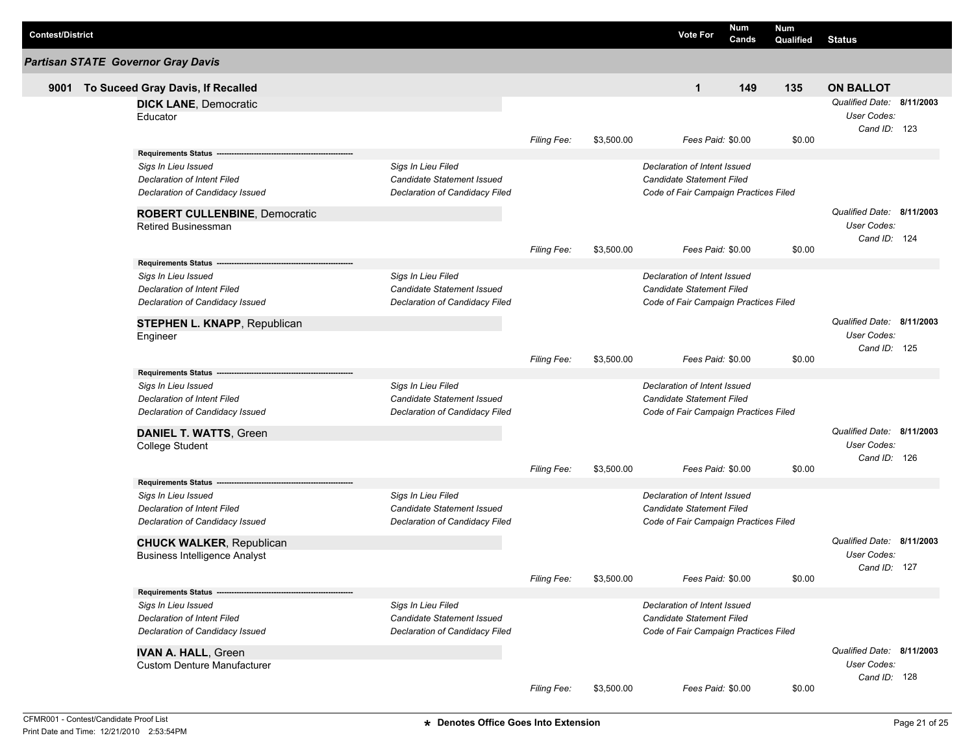| <b>Contest/District</b> |                                                    |                                                  |                    |            | <b>Vote For</b>                       | Num<br>Cands | <b>Num</b><br>Qualified | <b>Status</b>               |  |
|-------------------------|----------------------------------------------------|--------------------------------------------------|--------------------|------------|---------------------------------------|--------------|-------------------------|-----------------------------|--|
|                         | <b>Partisan STATE Governor Gray Davis</b>          |                                                  |                    |            |                                       |              |                         |                             |  |
| 9001                    | To Suceed Gray Davis, If Recalled                  |                                                  |                    |            | $\mathbf{1}$                          | 149          | 135                     | <b>ON BALLOT</b>            |  |
|                         | <b>DICK LANE, Democratic</b>                       |                                                  |                    |            |                                       |              |                         | Qualified Date: 8/11/2003   |  |
|                         | Educator                                           |                                                  |                    |            |                                       |              |                         | User Codes:                 |  |
|                         |                                                    |                                                  |                    |            |                                       |              |                         | Cand ID: 123                |  |
|                         |                                                    |                                                  | Filing Fee:        | \$3,500.00 | Fees Paid: \$0.00                     |              | \$0.00                  |                             |  |
|                         | Requirements Status ---                            |                                                  |                    |            |                                       |              |                         |                             |  |
|                         | Sigs In Lieu Issued                                | Sigs In Lieu Filed                               |                    |            | Declaration of Intent Issued          |              |                         |                             |  |
|                         | <b>Declaration of Intent Filed</b>                 | Candidate Statement Issued                       |                    |            | Candidate Statement Filed             |              |                         |                             |  |
|                         | Declaration of Candidacy Issued                    | Declaration of Candidacy Filed                   |                    |            | Code of Fair Campaign Practices Filed |              |                         |                             |  |
|                         | <b>ROBERT CULLENBINE, Democratic</b>               |                                                  |                    |            |                                       |              |                         | Qualified Date: 8/11/2003   |  |
|                         | Retired Businessman                                |                                                  |                    |            |                                       |              |                         | User Codes:                 |  |
|                         |                                                    |                                                  |                    |            |                                       |              |                         | Cand ID: 124                |  |
|                         |                                                    |                                                  | <b>Filing Fee:</b> | \$3,500.00 | Fees Paid: \$0.00                     |              | \$0.00                  |                             |  |
|                         | Requirements Status --                             |                                                  |                    |            | Declaration of Intent Issued          |              |                         |                             |  |
|                         | Sigs In Lieu Issued<br>Declaration of Intent Filed | Sigs In Lieu Filed<br>Candidate Statement Issued |                    |            | Candidate Statement Filed             |              |                         |                             |  |
|                         | Declaration of Candidacy Issued                    | Declaration of Candidacy Filed                   |                    |            | Code of Fair Campaign Practices Filed |              |                         |                             |  |
|                         |                                                    |                                                  |                    |            |                                       |              |                         |                             |  |
|                         | STEPHEN L. KNAPP, Republican                       |                                                  |                    |            |                                       |              |                         | Qualified Date: 8/11/2003   |  |
|                         | Engineer                                           |                                                  |                    |            |                                       |              |                         | User Codes:                 |  |
|                         |                                                    |                                                  | Filing Fee:        | \$3,500.00 | Fees Paid: \$0.00                     |              | \$0.00                  | Cand ID: 125                |  |
|                         | <b>Requirements Status</b>                         |                                                  |                    |            |                                       |              |                         |                             |  |
|                         | Sigs In Lieu Issued                                | Sigs In Lieu Filed                               |                    |            | Declaration of Intent Issued          |              |                         |                             |  |
|                         | <b>Declaration of Intent Filed</b>                 | <b>Candidate Statement Issued</b>                |                    |            | Candidate Statement Filed             |              |                         |                             |  |
|                         | Declaration of Candidacy Issued                    | Declaration of Candidacy Filed                   |                    |            | Code of Fair Campaign Practices Filed |              |                         |                             |  |
|                         |                                                    |                                                  |                    |            |                                       |              |                         |                             |  |
|                         | <b>DANIEL T. WATTS, Green</b>                      |                                                  |                    |            |                                       |              |                         | Qualified Date: 8/11/2003   |  |
|                         | College Student                                    |                                                  |                    |            |                                       |              |                         | User Codes:<br>Cand ID: 126 |  |
|                         |                                                    |                                                  | Filing Fee:        | \$3,500.00 | Fees Paid: \$0.00                     |              | \$0.00                  |                             |  |
|                         | <b>Requirements Status --</b>                      |                                                  |                    |            |                                       |              |                         |                             |  |
|                         | Sigs In Lieu Issued                                | Sias In Lieu Filed                               |                    |            | Declaration of Intent Issued          |              |                         |                             |  |
|                         | <b>Declaration of Intent Filed</b>                 | <b>Candidate Statement Issued</b>                |                    |            | Candidate Statement Filed             |              |                         |                             |  |
|                         | Declaration of Candidacy Issued                    | Declaration of Candidacy Filed                   |                    |            | Code of Fair Campaign Practices Filed |              |                         |                             |  |
|                         |                                                    |                                                  |                    |            |                                       |              |                         | Qualified Date: 8/11/2003   |  |
|                         | <b>CHUCK WALKER, Republican</b>                    |                                                  |                    |            |                                       |              |                         | User Codes:                 |  |
|                         | <b>Business Intelligence Analyst</b>               |                                                  |                    |            |                                       |              |                         | Cand ID: 127                |  |
|                         |                                                    |                                                  | Filing Fee:        | \$3,500.00 | Fees Paid: \$0.00                     |              | \$0.00                  |                             |  |
|                         | Requirements Status ---                            |                                                  |                    |            |                                       |              |                         |                             |  |
|                         | Sigs In Lieu Issued                                | Sigs In Lieu Filed                               |                    |            | Declaration of Intent Issued          |              |                         |                             |  |
|                         | <b>Declaration of Intent Filed</b>                 | <b>Candidate Statement Issued</b>                |                    |            | Candidate Statement Filed             |              |                         |                             |  |
|                         | Declaration of Candidacy Issued                    | Declaration of Candidacy Filed                   |                    |            | Code of Fair Campaign Practices Filed |              |                         |                             |  |
|                         | <b>IVAN A. HALL, Green</b>                         |                                                  |                    |            |                                       |              |                         | Qualified Date: 8/11/2003   |  |
|                         | <b>Custom Denture Manufacturer</b>                 |                                                  |                    |            |                                       |              |                         | User Codes:                 |  |
|                         |                                                    |                                                  |                    |            |                                       |              |                         | Cand ID: 128                |  |
|                         |                                                    |                                                  | Filing Fee:        | \$3,500.00 | Fees Paid: \$0.00                     |              | \$0.00                  |                             |  |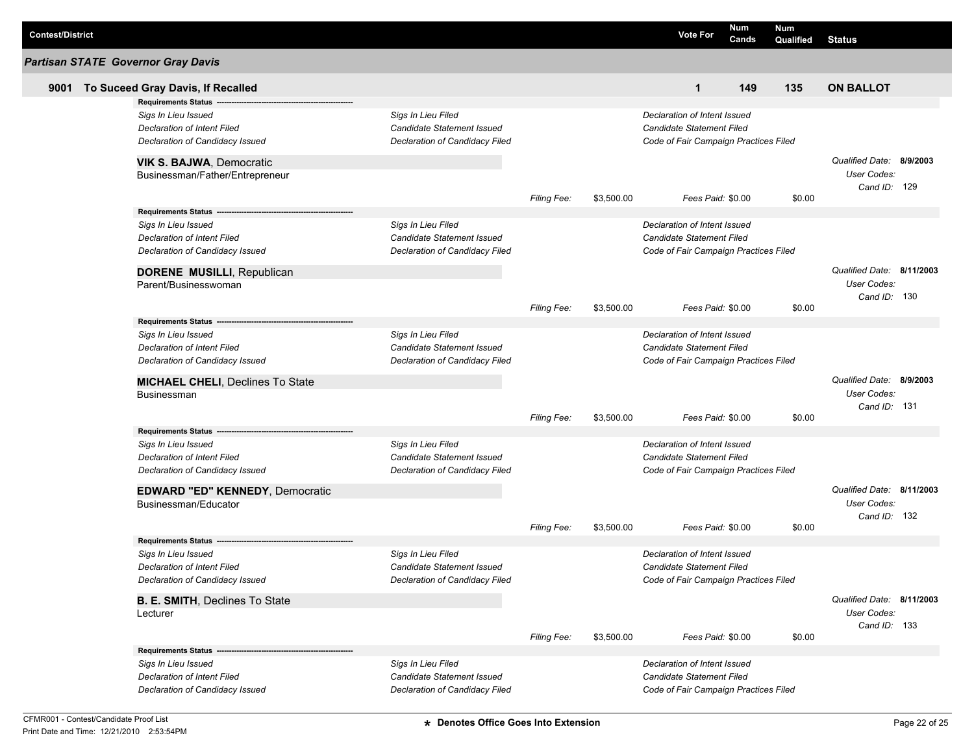| <b>Contest/District</b> |                                                                                                                            |                                                                                    |                    |            | <b>Vote For</b>                                                                                    | Num<br>Cands | Num<br>Qualified | <b>Status</b>                                                   |  |
|-------------------------|----------------------------------------------------------------------------------------------------------------------------|------------------------------------------------------------------------------------|--------------------|------------|----------------------------------------------------------------------------------------------------|--------------|------------------|-----------------------------------------------------------------|--|
|                         | <b>Partisan STATE Governor Gray Davis</b>                                                                                  |                                                                                    |                    |            |                                                                                                    |              |                  |                                                                 |  |
| 9001                    | To Suceed Gray Davis, If Recalled                                                                                          |                                                                                    |                    |            | $\mathbf{1}$                                                                                       | 149          | 135              | <b>ON BALLOT</b>                                                |  |
|                         | <b>Requirements Status</b>                                                                                                 |                                                                                    |                    |            |                                                                                                    |              |                  |                                                                 |  |
|                         | Sigs In Lieu Issued<br>Declaration of Intent Filed<br>Declaration of Candidacy Issued                                      | Sigs In Lieu Filed<br>Candidate Statement Issued<br>Declaration of Candidacy Filed |                    |            | Declaration of Intent Issued<br>Candidate Statement Filed<br>Code of Fair Campaign Practices Filed |              |                  |                                                                 |  |
|                         | VIK S. BAJWA, Democratic<br>Businessman/Father/Entrepreneur                                                                |                                                                                    |                    |            |                                                                                                    |              |                  | Qualified Date: 8/9/2003<br><b>User Codes:</b><br>Cand ID: 129  |  |
|                         |                                                                                                                            |                                                                                    | Filing Fee:        | \$3,500.00 | Fees Paid: \$0.00                                                                                  |              | \$0.00           |                                                                 |  |
|                         | Requirements Status ---                                                                                                    |                                                                                    |                    |            |                                                                                                    |              |                  |                                                                 |  |
|                         | Sigs In Lieu Issued<br><b>Declaration of Intent Filed</b><br>Declaration of Candidacy Issued                               | Sigs In Lieu Filed<br>Candidate Statement Issued<br>Declaration of Candidacy Filed |                    |            | Declaration of Intent Issued<br>Candidate Statement Filed<br>Code of Fair Campaign Practices Filed |              |                  |                                                                 |  |
|                         | <b>DORENE MUSILLI, Republican</b><br>Parent/Businesswoman                                                                  |                                                                                    | Filing Fee:        | \$3,500.00 | Fees Paid: \$0.00                                                                                  |              | \$0.00           | Qualified Date: 8/11/2003<br>User Codes:<br>Cand ID: 130        |  |
|                         | <b>Requirements Status</b>                                                                                                 |                                                                                    |                    |            |                                                                                                    |              |                  |                                                                 |  |
|                         | Sigs In Lieu Issued<br>Declaration of Intent Filed<br>Declaration of Candidacy Issued                                      | Sigs In Lieu Filed<br>Candidate Statement Issued<br>Declaration of Candidacy Filed |                    |            | Declaration of Intent Issued<br>Candidate Statement Filed<br>Code of Fair Campaign Practices Filed |              |                  |                                                                 |  |
|                         | <b>MICHAEL CHELI, Declines To State</b><br>Businessman                                                                     |                                                                                    | Filing Fee:        | \$3,500.00 | Fees Paid: \$0.00                                                                                  |              | \$0.00           | Qualified Date: 8/9/2003<br><b>User Codes:</b><br>Cand ID: 131  |  |
|                         | <b>Requirements Status --</b>                                                                                              |                                                                                    |                    |            |                                                                                                    |              |                  |                                                                 |  |
|                         | Sigs In Lieu Issued<br><b>Declaration of Intent Filed</b><br>Declaration of Candidacy Issued                               | Sigs In Lieu Filed<br>Candidate Statement Issued<br>Declaration of Candidacy Filed |                    |            | Declaration of Intent Issued<br>Candidate Statement Filed<br>Code of Fair Campaign Practices Filed |              |                  |                                                                 |  |
|                         | <b>EDWARD "ED" KENNEDY, Democratic</b><br>Businessman/Educator                                                             |                                                                                    |                    |            |                                                                                                    |              |                  | Qualified Date: 8/11/2003<br><b>User Codes:</b><br>Cand ID: 132 |  |
|                         |                                                                                                                            |                                                                                    | <b>Filing Fee:</b> | \$3,500.00 | Fees Paid: \$0.00                                                                                  |              | \$0.00           |                                                                 |  |
|                         | <b>Requirements Status</b><br>Sigs In Lieu Issued<br><b>Declaration of Intent Filed</b><br>Declaration of Candidacy Issued | Sigs In Lieu Filed<br>Candidate Statement Issued<br>Declaration of Candidacy Filed |                    |            | Declaration of Intent Issued<br>Candidate Statement Filed<br>Code of Fair Campaign Practices Filed |              |                  |                                                                 |  |
|                         | <b>B. E. SMITH, Declines To State</b><br>Lecturer                                                                          |                                                                                    | <b>Filing Fee:</b> | \$3,500.00 | Fees Paid: \$0.00                                                                                  |              | \$0.00           | Qualified Date: 8/11/2003<br>User Codes:<br>Cand ID: 133        |  |
|                         |                                                                                                                            |                                                                                    |                    |            |                                                                                                    |              |                  |                                                                 |  |
|                         | Sigs In Lieu Issued<br><b>Declaration of Intent Filed</b><br>Declaration of Candidacy Issued                               | Sigs In Lieu Filed<br>Candidate Statement Issued<br>Declaration of Candidacy Filed |                    |            | Declaration of Intent Issued<br>Candidate Statement Filed<br>Code of Fair Campaign Practices Filed |              |                  |                                                                 |  |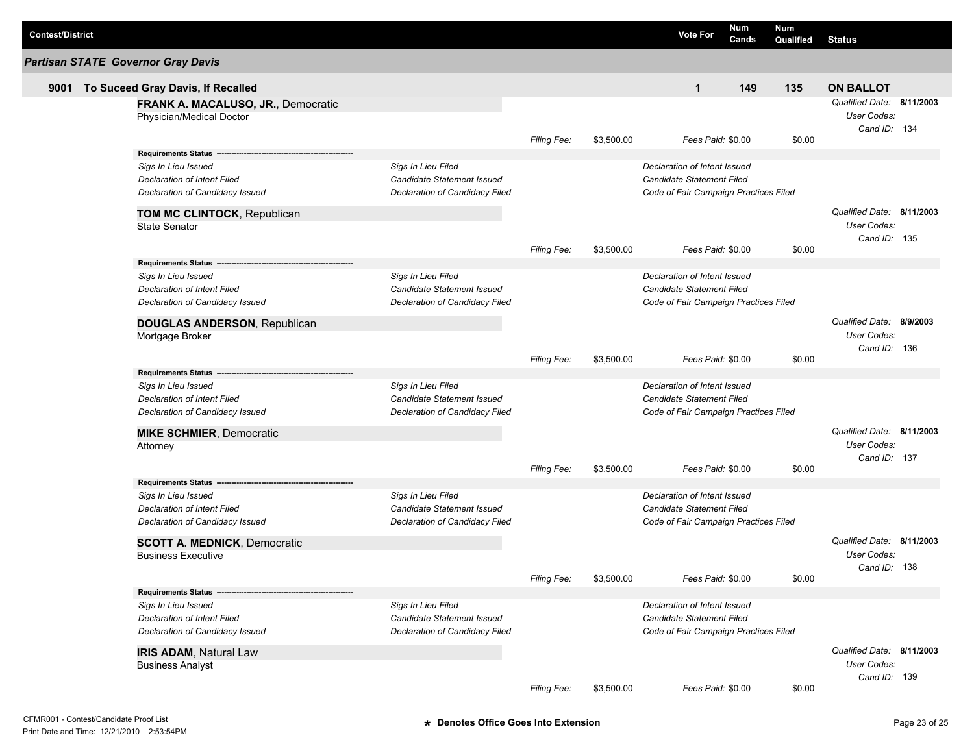| <b>Partisan STATE Governor Gray Davis</b>                                                                                                                                                                        |            |                                                                                                           |        |                                                                 |  |
|------------------------------------------------------------------------------------------------------------------------------------------------------------------------------------------------------------------|------------|-----------------------------------------------------------------------------------------------------------|--------|-----------------------------------------------------------------|--|
|                                                                                                                                                                                                                  |            |                                                                                                           |        |                                                                 |  |
| To Suceed Gray Davis, If Recalled<br>9001                                                                                                                                                                        |            | 149<br>$\mathbf{1}$                                                                                       | 135    | <b>ON BALLOT</b>                                                |  |
| FRANK A. MACALUSO, JR., Democratic<br>Physician/Medical Doctor                                                                                                                                                   |            |                                                                                                           |        | Qualified Date: 8/11/2003<br><b>User Codes:</b><br>Cand ID: 134 |  |
| <b>Filing Fee:</b>                                                                                                                                                                                               | \$3,500.00 | Fees Paid: \$0.00                                                                                         | \$0.00 |                                                                 |  |
| <b>Requirements Status</b><br>Sigs In Lieu Filed<br>Sigs In Lieu Issued<br>Declaration of Intent Filed<br>Candidate Statement Issued<br>Declaration of Candidacy Issued<br>Declaration of Candidacy Filed        |            | Declaration of Intent Issued<br>Candidate Statement Filed<br>Code of Fair Campaign Practices Filed        |        |                                                                 |  |
| TOM MC CLINTOCK, Republican<br><b>State Senator</b>                                                                                                                                                              |            |                                                                                                           |        | Qualified Date: 8/11/2003<br>User Codes:<br>Cand ID: 135        |  |
| <b>Filing Fee:</b>                                                                                                                                                                                               | \$3,500.00 | Fees Paid: \$0.00                                                                                         | \$0.00 |                                                                 |  |
| <b>Requirements Status</b><br>Sigs In Lieu Filed<br>Sigs In Lieu Issued<br>Candidate Statement Issued<br>Declaration of Intent Filed<br>Declaration of Candidacy Filed<br>Declaration of Candidacy Issued        |            | Declaration of Intent Issued<br><b>Candidate Statement Filed</b><br>Code of Fair Campaign Practices Filed |        |                                                                 |  |
| <b>DOUGLAS ANDERSON, Republican</b><br>Mortgage Broker<br><b>Filing Fee:</b>                                                                                                                                     | \$3,500.00 | Fees Paid: \$0.00                                                                                         | \$0.00 | Qualified Date: 8/9/2003<br>User Codes:<br>Cand ID: 136         |  |
| <b>Requirements Status</b>                                                                                                                                                                                       |            |                                                                                                           |        |                                                                 |  |
| Sigs In Lieu Filed<br>Sigs In Lieu Issued<br>Candidate Statement Issued<br>Declaration of Intent Filed<br>Declaration of Candidacy Issued<br>Declaration of Candidacy Filed                                      |            | Declaration of Intent Issued<br>Candidate Statement Filed<br>Code of Fair Campaign Practices Filed        |        |                                                                 |  |
| <b>MIKE SCHMIER, Democratic</b>                                                                                                                                                                                  |            |                                                                                                           |        | Qualified Date: 8/11/2003                                       |  |
| Attorney<br><b>Filing Fee:</b>                                                                                                                                                                                   | \$3,500.00 | Fees Paid: \$0.00                                                                                         | \$0.00 | User Codes:<br>Cand ID: 137                                     |  |
| <b>Requirements Status</b>                                                                                                                                                                                       |            |                                                                                                           |        |                                                                 |  |
| Sigs In Lieu Filed<br>Sigs In Lieu Issued<br>Candidate Statement Issued<br>Declaration of Intent Filed<br>Declaration of Candidacy Issued<br>Declaration of Candidacy Filed                                      |            | Declaration of Intent Issued<br><b>Candidate Statement Filed</b><br>Code of Fair Campaign Practices Filed |        |                                                                 |  |
| <b>SCOTT A. MEDNICK, Democratic</b><br><b>Business Executive</b>                                                                                                                                                 |            |                                                                                                           |        | Qualified Date: 8/11/2003<br>User Codes:                        |  |
| Filing Fee:                                                                                                                                                                                                      | \$3,500.00 | Fees Paid: \$0.00                                                                                         | \$0.00 | Cand ID: 138                                                    |  |
| <b>Requirements Status</b><br>Sigs In Lieu Filed<br>Sigs In Lieu Issued<br><b>Declaration of Intent Filed</b><br>Candidate Statement Issued<br>Declaration of Candidacy Issued<br>Declaration of Candidacy Filed |            | Declaration of Intent Issued<br><b>Candidate Statement Filed</b><br>Code of Fair Campaign Practices Filed |        |                                                                 |  |
| <b>IRIS ADAM, Natural Law</b><br><b>Business Analyst</b><br>Filing Fee:                                                                                                                                          | \$3,500.00 | Fees Paid: \$0.00                                                                                         | \$0.00 | Qualified Date: 8/11/2003<br>User Codes:<br>Cand ID: 139        |  |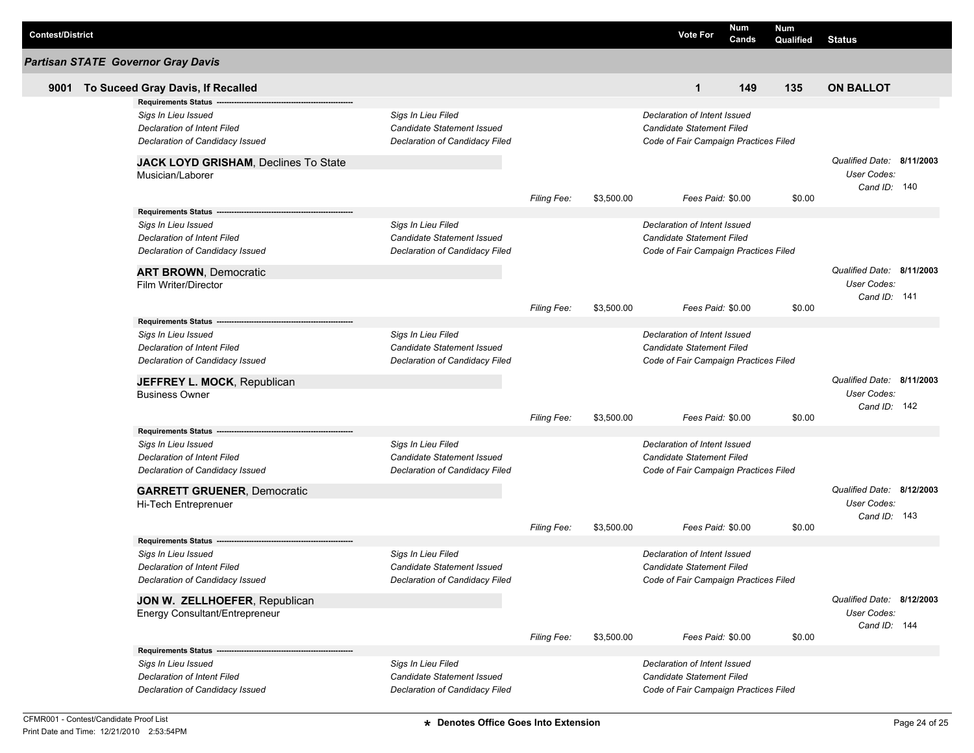| <b>Contest/District</b> |                                                          |                                |                    |            | <b>Vote For</b>                       | Num<br>Cands | <b>Num</b><br>Qualified | <b>Status</b>                                            |  |
|-------------------------|----------------------------------------------------------|--------------------------------|--------------------|------------|---------------------------------------|--------------|-------------------------|----------------------------------------------------------|--|
|                         | <b>Partisan STATE Governor Gray Davis</b>                |                                |                    |            |                                       |              |                         |                                                          |  |
| 9001                    | To Suceed Gray Davis, If Recalled                        |                                |                    |            | $\mathbf{1}$                          | 149          | 135                     | <b>ON BALLOT</b>                                         |  |
|                         | <b>Requirements Status</b>                               |                                |                    |            |                                       |              |                         |                                                          |  |
|                         | Sigs In Lieu Issued                                      | Sigs In Lieu Filed             |                    |            | Declaration of Intent Issued          |              |                         |                                                          |  |
|                         | Declaration of Intent Filed                              | Candidate Statement Issued     |                    |            | <b>Candidate Statement Filed</b>      |              |                         |                                                          |  |
|                         | Declaration of Candidacy Issued                          | Declaration of Candidacy Filed |                    |            | Code of Fair Campaign Practices Filed |              |                         |                                                          |  |
|                         | JACK LOYD GRISHAM, Declines To State<br>Musician/Laborer |                                |                    |            |                                       |              |                         | Qualified Date: 8/11/2003<br>User Codes:<br>Cand ID: 140 |  |
|                         |                                                          |                                | Filing Fee:        | \$3,500.00 | Fees Paid: \$0.00                     |              | \$0.00                  |                                                          |  |
|                         | Requirements Status ----                                 |                                |                    |            |                                       |              |                         |                                                          |  |
|                         | Sigs In Lieu Issued                                      | Sigs In Lieu Filed             |                    |            | Declaration of Intent Issued          |              |                         |                                                          |  |
|                         | Declaration of Intent Filed                              | Candidate Statement Issued     |                    |            | <b>Candidate Statement Filed</b>      |              |                         |                                                          |  |
|                         | Declaration of Candidacy Issued                          | Declaration of Candidacy Filed |                    |            | Code of Fair Campaign Practices Filed |              |                         |                                                          |  |
|                         | <b>ART BROWN, Democratic</b><br>Film Writer/Director     |                                |                    |            |                                       |              |                         | Qualified Date: 8/11/2003<br>User Codes:<br>Cand ID: 141 |  |
|                         |                                                          |                                | <b>Filing Fee:</b> | \$3,500.00 | Fees Paid: \$0.00                     |              | \$0.00                  |                                                          |  |
|                         | Requirements Status -                                    |                                |                    |            |                                       |              |                         |                                                          |  |
|                         | Sigs In Lieu Issued                                      | Sigs In Lieu Filed             |                    |            | Declaration of Intent Issued          |              |                         |                                                          |  |
|                         | Declaration of Intent Filed                              | Candidate Statement Issued     |                    |            | <b>Candidate Statement Filed</b>      |              |                         |                                                          |  |
|                         | Declaration of Candidacy Issued                          | Declaration of Candidacy Filed |                    |            | Code of Fair Campaign Practices Filed |              |                         |                                                          |  |
|                         | JEFFREY L. MOCK, Republican                              |                                |                    |            |                                       |              |                         | Qualified Date: 8/11/2003                                |  |
|                         | <b>Business Owner</b>                                    |                                |                    |            |                                       |              |                         | User Codes:                                              |  |
|                         |                                                          |                                |                    |            |                                       |              |                         | Cand ID: 142                                             |  |
|                         |                                                          |                                | <b>Filing Fee:</b> | \$3,500.00 | Fees Paid: \$0.00                     |              | \$0.00                  |                                                          |  |
|                         | <b>Requirements Status</b>                               |                                |                    |            |                                       |              |                         |                                                          |  |
|                         | Sigs In Lieu Issued                                      | Sigs In Lieu Filed             |                    |            | Declaration of Intent Issued          |              |                         |                                                          |  |
|                         | Declaration of Intent Filed                              | Candidate Statement Issued     |                    |            | <b>Candidate Statement Filed</b>      |              |                         |                                                          |  |
|                         | Declaration of Candidacy Issued                          | Declaration of Candidacy Filed |                    |            | Code of Fair Campaign Practices Filed |              |                         |                                                          |  |
|                         | <b>GARRETT GRUENER, Democratic</b>                       |                                |                    |            |                                       |              |                         | Qualified Date: 8/12/2003                                |  |
|                         | Hi-Tech Entreprenuer                                     |                                |                    |            |                                       |              |                         | User Codes:                                              |  |
|                         |                                                          |                                | <b>Filing Fee:</b> | \$3,500.00 | Fees Paid: \$0.00                     |              | \$0.00                  | Cand ID: 143                                             |  |
|                         | <b>Requirements Status</b>                               |                                |                    |            |                                       |              |                         |                                                          |  |
|                         | Sigs In Lieu Issued                                      | Sigs In Lieu Filed             |                    |            | Declaration of Intent Issued          |              |                         |                                                          |  |
|                         | Declaration of Intent Filed                              | Candidate Statement Issued     |                    |            | <b>Candidate Statement Filed</b>      |              |                         |                                                          |  |
|                         | Declaration of Candidacy Issued                          | Declaration of Candidacy Filed |                    |            | Code of Fair Campaign Practices Filed |              |                         |                                                          |  |
|                         | JON W. ZELLHOEFER, Republican                            |                                |                    |            |                                       |              |                         | Qualified Date: 8/12/2003                                |  |
|                         | Energy Consultant/Entrepreneur                           |                                |                    |            |                                       |              |                         | User Codes:                                              |  |
|                         |                                                          |                                |                    |            |                                       |              |                         | Cand ID: 144                                             |  |
|                         |                                                          |                                | Filing Fee:        | \$3,500.00 | Fees Paid: \$0.00                     |              | \$0.00                  |                                                          |  |
|                         |                                                          |                                |                    |            |                                       |              |                         |                                                          |  |
|                         | Sigs In Lieu Issued                                      | Sigs In Lieu Filed             |                    |            | Declaration of Intent Issued          |              |                         |                                                          |  |
|                         | <b>Declaration of Intent Filed</b>                       | Candidate Statement Issued     |                    |            | <b>Candidate Statement Filed</b>      |              |                         |                                                          |  |
|                         | Declaration of Candidacy Issued                          | Declaration of Candidacy Filed |                    |            | Code of Fair Campaign Practices Filed |              |                         |                                                          |  |